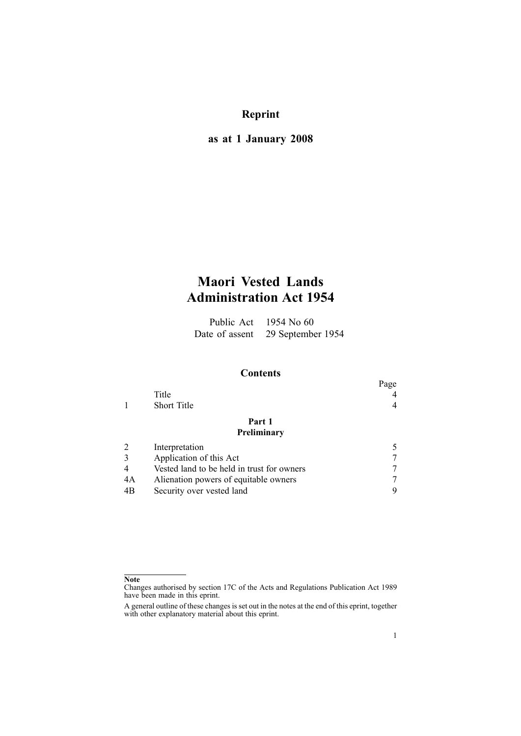# **Reprint**

## **as at 1 January 2008**

# **Maori Vested Lands Administration Act 1954**

Public Act 1954 No 60 Date of assent 29 September 1954

### **Contents**

|    |                                            | Page |
|----|--------------------------------------------|------|
|    | Title                                      |      |
|    | <b>Short Title</b>                         |      |
|    | Part 1                                     |      |
|    | Preliminary                                |      |
|    | Interpretation                             |      |
|    | Application of this Act                    |      |
|    | Vested land to be held in trust for owners |      |
| 4A | Alienation powers of equitable owners      |      |
| 4B | Security over vested land                  | 9    |
|    |                                            |      |

**Note**

Changes authorised by [section](http://www.legislation.govt.nz/pdfLink.aspx?id=DLM195466) 17C of the Acts and Regulations Publication Act 1989 have been made in this eprint.

A general outline of these changes is set out in the notes at the end of this eprint, together with other explanatory material about this eprint.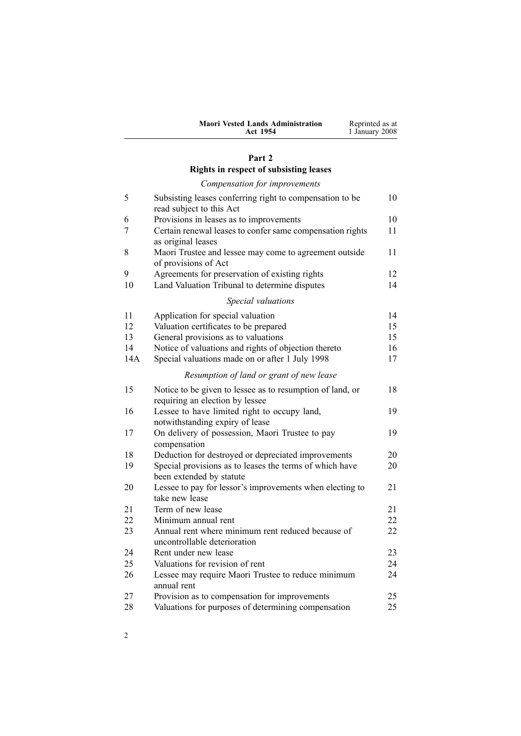| <b>Maori Vested Lands Administration</b> | Reprinted as at |
|------------------------------------------|-----------------|
| <b>Act 1954</b>                          | 1 January 2008  |

## **[Part](#page-9-0) [2](#page-9-0)**

# **Rights in respect of [subsisting](#page-9-0) leases**

|     | Compensation for improvements                                                                |    |
|-----|----------------------------------------------------------------------------------------------|----|
| 5   | Subsisting leases conferring right to compensation to be<br>read subject to this Act         | 10 |
| 6   | Provisions in leases as to improvements                                                      | 10 |
| 7   | Certain renewal leases to confer same compensation rights<br>as original leases              | 11 |
| 8   | Maori Trustee and lessee may come to agreement outside<br>of provisions of Act               | 11 |
| 9   | Agreements for preservation of existing rights                                               | 12 |
| 10  | Land Valuation Tribunal to determine disputes                                                | 14 |
|     | Special valuations                                                                           |    |
| 11  | Application for special valuation                                                            | 14 |
| 12  | Valuation certificates to be prepared                                                        | 15 |
| 13  | General provisions as to valuations                                                          | 15 |
| 14  | Notice of valuations and rights of objection thereto                                         | 16 |
| 14A | Special valuations made on or after 1 July 1998                                              | 17 |
|     | Resumption of land or grant of new lease                                                     |    |
| 15  | Notice to be given to lessee as to resumption of land, or<br>requiring an election by lessee | 18 |
| 16  | Lessee to have limited right to occupy land,<br>notwithstanding expiry of lease              | 19 |
| 17  | On delivery of possession, Maori Trustee to pay<br>compensation                              | 19 |
| 18  | Deduction for destroyed or depreciated improvements                                          | 20 |
| 19  | Special provisions as to leases the terms of which have<br>been extended by statute          | 20 |
| 20  | Lessee to pay for lessor's improvements when electing to<br>take new lease                   | 21 |
| 21  | Term of new lease                                                                            | 21 |
| 22  | Minimum annual rent                                                                          | 22 |
| 23  | Annual rent where minimum rent reduced because of<br>uncontrollable deterioration            | 22 |
| 24  | Rent under new lease                                                                         | 23 |
| 25  | Valuations for revision of rent                                                              | 24 |
| 26  | Lessee may require Maori Trustee to reduce minimum<br>annual rent                            | 24 |
| 27  | Provision as to compensation for improvements                                                | 25 |
| 28  | Valuations for purposes of determining compensation                                          | 25 |
|     |                                                                                              |    |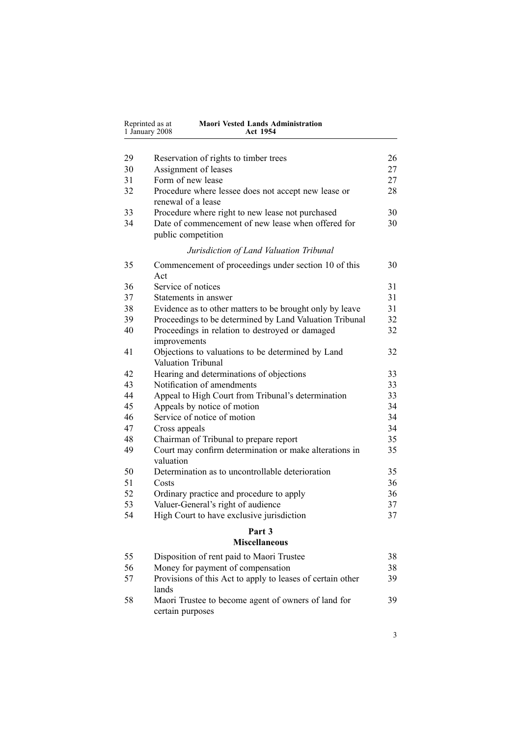| Reprinted as at<br><b>Maori Vested Lands Administration</b><br>1 January 2008<br>Act 1954 |                                                                           |    |
|-------------------------------------------------------------------------------------------|---------------------------------------------------------------------------|----|
|                                                                                           |                                                                           |    |
| 29                                                                                        | Reservation of rights to timber trees                                     | 26 |
| 30                                                                                        | Assignment of leases                                                      | 27 |
| 31                                                                                        | Form of new lease                                                         | 27 |
| 32                                                                                        | Procedure where lessee does not accept new lease or<br>renewal of a lease | 28 |
| 33                                                                                        | Procedure where right to new lease not purchased                          | 30 |
| 34                                                                                        | Date of commencement of new lease when offered for<br>public competition  | 30 |
|                                                                                           | Jurisdiction of Land Valuation Tribunal                                   |    |
| 35                                                                                        | Commencement of proceedings under section 10 of this<br>Act               | 30 |
| 36                                                                                        | Service of notices                                                        | 31 |
| 37                                                                                        | Statements in answer                                                      | 31 |
| 38                                                                                        | Evidence as to other matters to be brought only by leave                  | 31 |
| 39                                                                                        | Proceedings to be determined by Land Valuation Tribunal                   | 32 |
| 40                                                                                        | Proceedings in relation to destroyed or damaged                           | 32 |
|                                                                                           | improvements                                                              |    |
| 41                                                                                        | Objections to valuations to be determined by Land<br>Valuation Tribunal   | 32 |
| 42                                                                                        | Hearing and determinations of objections                                  | 33 |
| 43                                                                                        | Notification of amendments                                                | 33 |
| 44                                                                                        | Appeal to High Court from Tribunal's determination                        | 33 |
| 45                                                                                        | Appeals by notice of motion                                               | 34 |
| 46                                                                                        | Service of notice of motion                                               | 34 |
| 47                                                                                        | Cross appeals                                                             | 34 |
| 48                                                                                        | Chairman of Tribunal to prepare report                                    | 35 |
| 49                                                                                        | Court may confirm determination or make alterations in<br>valuation       | 35 |
| 50                                                                                        | Determination as to uncontrollable deterioration                          | 35 |
| 51                                                                                        | Costs                                                                     | 36 |
| 52                                                                                        | Ordinary practice and procedure to apply                                  | 36 |
| 53                                                                                        | Valuer-General's right of audience                                        | 37 |
| 54                                                                                        | High Court to have exclusive jurisdiction                                 | 37 |
|                                                                                           | Part 3<br><b>Miscellaneous</b>                                            |    |
| 55                                                                                        | Disposition of rent paid to Maori Trustee                                 | 38 |
| 56                                                                                        | Money for payment of compensation                                         | 38 |
| 57                                                                                        | Provisions of this Act to apply to leases of certain other                | 39 |

| $\mathcal{L}$ | Provisions of this Act to apply to leases of certain other | эy |
|---------------|------------------------------------------------------------|----|
|               | lands                                                      |    |
| 58            | Maori Trustee to become agent of owners of land for        | 39 |
|               | certain purposes                                           |    |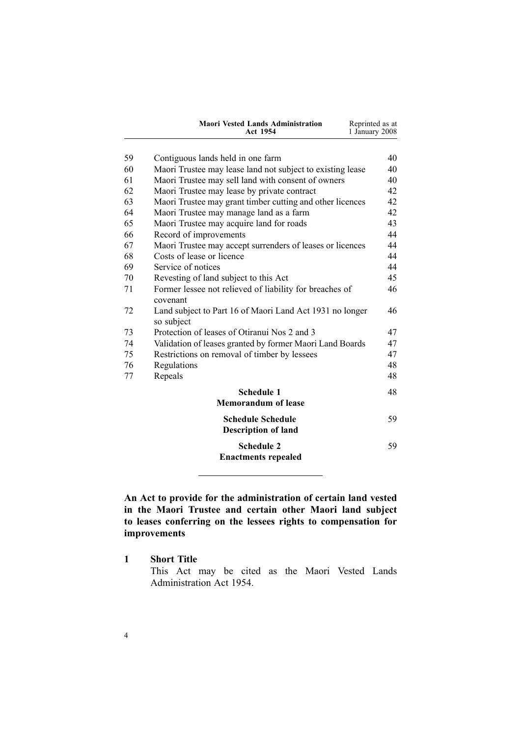| <b>Maori Vested Lands Administration</b> | Reprinted as at |
|------------------------------------------|-----------------|
| Act 1954                                 | 1 January 2008  |

<span id="page-3-0"></span>

| 59 | Contiguous lands held in one farm                                      | 40 |
|----|------------------------------------------------------------------------|----|
| 60 | Maori Trustee may lease land not subject to existing lease             | 40 |
| 61 | Maori Trustee may sell land with consent of owners                     | 40 |
| 62 | Maori Trustee may lease by private contract                            | 42 |
| 63 | Maori Trustee may grant timber cutting and other licences              | 42 |
| 64 | Maori Trustee may manage land as a farm                                | 42 |
| 65 | Maori Trustee may acquire land for roads                               | 43 |
| 66 | Record of improvements                                                 | 44 |
| 67 | Maori Trustee may accept surrenders of leases or licences              | 44 |
| 68 | Costs of lease or licence                                              | 44 |
| 69 | Service of notices                                                     | 44 |
| 70 | Revesting of land subject to this Act                                  | 45 |
| 71 | Former lessee not relieved of liability for breaches of<br>covenant    | 46 |
| 72 | Land subject to Part 16 of Maori Land Act 1931 no longer<br>so subject | 46 |
| 73 | Protection of leases of Otiranui Nos 2 and 3                           | 47 |
| 74 | Validation of leases granted by former Maori Land Boards               | 47 |
| 75 | Restrictions on removal of timber by lessees                           | 47 |
| 76 | Regulations                                                            | 48 |
| 77 | Repeals                                                                | 48 |
|    | <b>Schedule 1</b>                                                      | 48 |
|    | <b>Memorandum of lease</b>                                             |    |
|    | <b>Schedule Schedule</b><br><b>Description of land</b>                 | 59 |
|    | <b>Schedule 2</b><br><b>Enactments repealed</b>                        | 59 |

**An Act to provide for the administration of certain land vested in the Maori Trustee and certain other Maori land subject to leases conferring on the lessees rights to compensation for improvements**

**1 Short Title**

This Act may be cited as the Maori Vested Lands Administration Act 1954.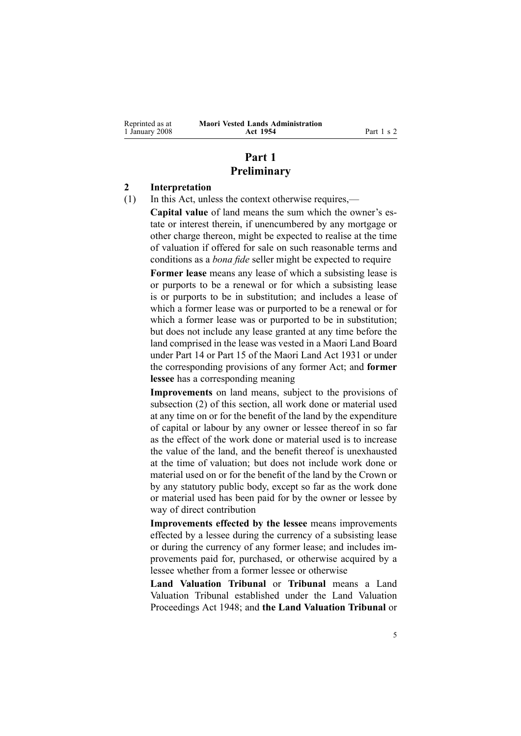<span id="page-4-0"></span>Reprinted as at 1 January 2008

## **Part 1 Preliminary**

### **2 Interpretation**

(1) In this Act, unless the context otherwise requires,—

**Capital value** of land means the sum which the owner's estate or interest therein, if unencumbered by any mortgage or other charge thereon, might be expected to realise at the time of valuation if offered for sale on such reasonable terms and conditions as <sup>a</sup> *bona fide* seller might be expected to require

**Former lease** means any lease of which <sup>a</sup> subsisting lease is or purports to be <sup>a</sup> renewal or for which <sup>a</sup> subsisting lease is or purports to be in substitution; and includes <sup>a</sup> lease of which <sup>a</sup> former lease was or purported to be <sup>a</sup> renewal or for which <sup>a</sup> former lease was or purported to be in substitution; but does not include any lease granted at any time before the land comprised in the lease was vested in <sup>a</sup> Maori Land Board under Part 14 or Part 15 of the Maori Land Act 1931 or under the corresponding provisions of any former Act; and **former lessee** has <sup>a</sup> corresponding meaning

**Improvements** on land means, subject to the provisions of subsection (2) of this section, all work done or material used at any time on or for the benefit of the land by the expenditure of capital or labour by any owner or lessee thereof in so far as the effect of the work done or material used is to increase the value of the land, and the benefit thereof is unexhausted at the time of valuation; but does not include work done or material used on or for the benefit of the land by the Crown or by any statutory public body, excep<sup>t</sup> so far as the work done or material used has been paid for by the owner or lessee by way of direct contribution

**Improvements effected by the lessee** means improvements effected by <sup>a</sup> lessee during the currency of <sup>a</sup> subsisting lease or during the currency of any former lease; and includes improvements paid for, purchased, or otherwise acquired by <sup>a</sup> lessee whether from <sup>a</sup> former lessee or otherwise

**Land Valuation Tribunal** or **Tribunal** means <sup>a</sup> Land Valuation Tribunal established under the Land [Valuation](http://www.legislation.govt.nz/pdfLink.aspx?id=DLM249212) [Proceedings](http://www.legislation.govt.nz/pdfLink.aspx?id=DLM249212) Act 1948; and **the Land Valuation Tribunal** or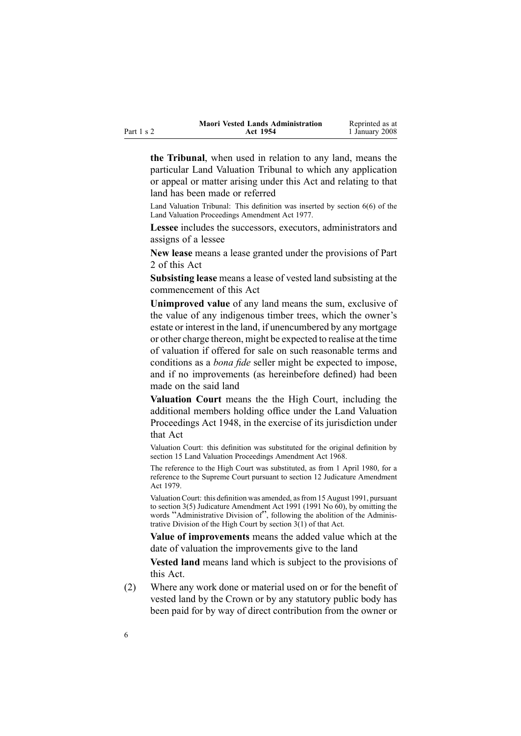|            | <b>Maori Vested Lands Administration</b> | Reprinted as at |
|------------|------------------------------------------|-----------------|
| Part 1 s 2 | Act 1954                                 | 1 January 2008  |

**the Tribunal**, when used in relation to any land, means the particular Land Valuation Tribunal to which any application or appeal or matter arising under this Act and relating to that land has been made or referred

Land Valuation Tribunal: This definition was inserted by section [6\(6\)](http://www.legislation.govt.nz/pdfLink.aspx?id=DLM442575) of the Land Valuation Proceedings Amendment Act 1977.

**Lessee** includes the successors, executors, administrators and assigns of <sup>a</sup> lessee

**New lease** means <sup>a</sup> lease granted under the provisions of Part [2](#page-9-0) of this Act

**Subsisting lease** means <sup>a</sup> lease of vested land subsisting at the commencement of this Act

**Unimproved value** of any land means the sum, exclusive of the value of any indigenous timber trees, which the owner's estate or interest in the land, if unencumbered by any mortgage or other charge thereon, might be expected to realise at the time of valuation if offered for sale on such reasonable terms and conditions as <sup>a</sup> *bona fide* seller might be expected to impose, and if no improvements (as hereinbefore defined) had been made on the said land

**Valuation Court** means the the High Court, including the additional members holding office under the Land [Valuation](http://www.legislation.govt.nz/pdfLink.aspx?id=DLM249212) [Proceedings](http://www.legislation.govt.nz/pdfLink.aspx?id=DLM249212) Act 1948, in the exercise of its jurisdiction under that Act

Valuation Court: this definition was substituted for the original definition by section [15](http://www.legislation.govt.nz/pdfLink.aspx?id=DLM388248) Land Valuation Proceedings Amendment Act 1968.

The reference to the High Court was substituted, as from 1 April 1980, for <sup>a</sup> reference to the Supreme Court pursuan<sup>t</sup> to section [12](http://www.legislation.govt.nz/pdfLink.aspx?id=DLM35049) Judicature Amendment Act 1979.

Valuation Court: this definition was amended, as from 15 August 1991, pursuant to section [3\(5\)](http://www.legislation.govt.nz/pdfLink.aspx?id=DLM230219) Judicature Amendment Act 1991 (1991 No 60), by omitting the words "Administrative Division of", following the abolition of the Administrative Division of the High Court by section [3\(1\)](http://www.legislation.govt.nz/pdfLink.aspx?id=DLM230219) of that Act.

**Value of improvements** means the added value which at the date of valuation the improvements give to the land

**Vested land** means land which is subject to the provisions of this Act.

(2) Where any work done or material used on or for the benefit of vested land by the Crown or by any statutory public body has been paid for by way of direct contribution from the owner or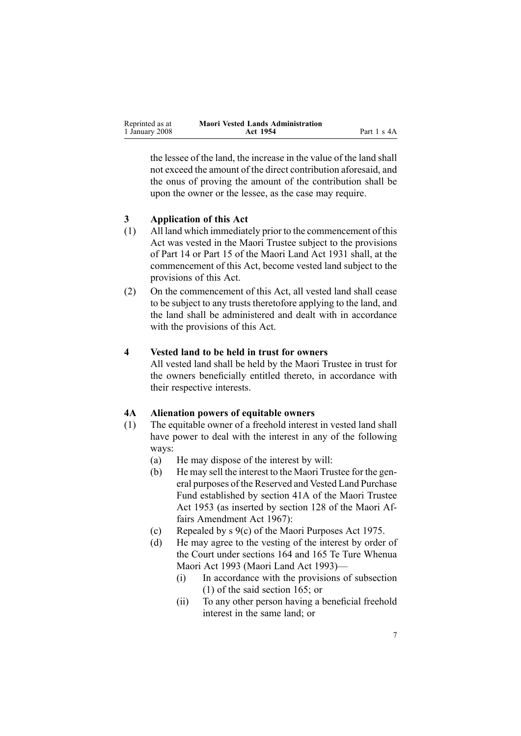<span id="page-6-0"></span>

| Reprinted as at | <b>Maori Vested Lands Administration</b> |             |
|-----------------|------------------------------------------|-------------|
| 1 January 2008  | Act 1954                                 | Part 1 s 4A |

the lessee of the land, the increase in the value of the land shall not exceed the amount of the direct contribution aforesaid, and the onus of proving the amount of the contribution shall be upon the owner or the lessee, as the case may require.

### **3 Application of this Act**

- (1) All land which immediately prior to the commencement of this Act was vested in the Maori Trustee subject to the provisions of Part 14 or Part 15 of the Maori Land Act 1931 shall, at the commencement of this Act, become vested land subject to the provisions of this Act.
- (2) On the commencement of this Act, all vested land shall cease to be subject to any trusts theretofore applying to the land, and the land shall be administered and dealt with in accordance with the provisions of this Act.

### **4 Vested land to be held in trust for owners**

All vested land shall be held by the Maori Trustee in trust for the owners beneficially entitled thereto, in accordance with their respective interests.

#### **4A Alienation powers of equitable owners**

- (1) The equitable owner of <sup>a</sup> freehold interest in vested land shall have power to deal with the interest in any of the following ways:
	- (a) He may dispose of the interest by will:
	- (b) He may sell the interest to the Maori Trustee for the general purposes of the Reserved and Vested Land Purchase Fund established by section [41A](http://www.legislation.govt.nz/pdfLink.aspx?id=DLM282917) of the Maori [Trustee](http://www.legislation.govt.nz/pdfLink.aspx?id=DLM282037) Act [1953](http://www.legislation.govt.nz/pdfLink.aspx?id=DLM282037) (as inserted by section 128 of the Maori Affairs Amendment Act 1967):
	- (c) Repealed by <sup>s</sup> [9\(c\)](http://www.legislation.govt.nz/pdfLink.aspx?id=DLM437759) of the Maori [Purposes](http://www.legislation.govt.nz/pdfLink.aspx?id=DLM437743) Act 1975.
	- (d) He may agree to the vesting of the interest by order of the Court under sections [164](http://www.legislation.govt.nz/pdfLink.aspx?id=DLM291580) and [165](http://www.legislation.govt.nz/pdfLink.aspx?id=DLM291582) Te Ture [Whenua](http://www.legislation.govt.nz/pdfLink.aspx?id=DLM289881) [Maori](http://www.legislation.govt.nz/pdfLink.aspx?id=DLM289881) Act 1993 (Maori Land Act 1993)—
		- (i) In accordance with the provisions of subsection [\(1\)](http://www.legislation.govt.nz/pdfLink.aspx?id=DLM291582) of the said section 165; or
		- (ii) To any other person having <sup>a</sup> beneficial freehold interest in the same land; or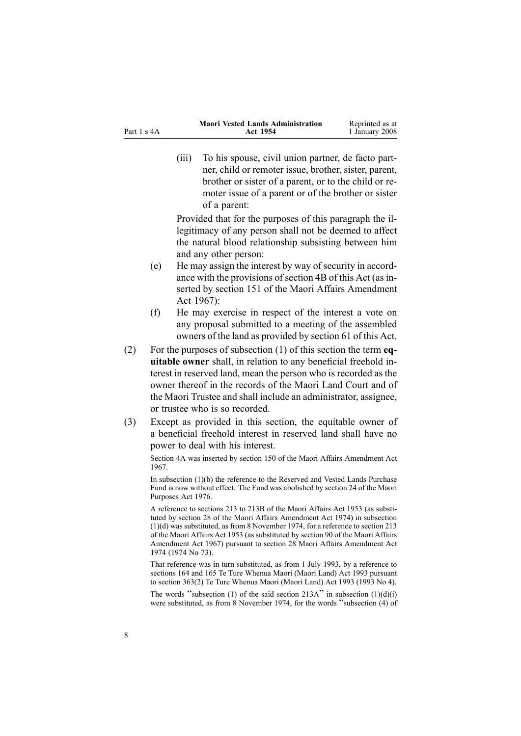|             | <b>Maori Vested Lands Administration</b> | Reprinted as at |
|-------------|------------------------------------------|-----------------|
| Part 1 s 4A | Act 1954                                 | 1 January 2008  |

(iii) To his spouse, civil union partner, de facto partner, child or remoter issue, brother, sister, parent, brother or sister of <sup>a</sup> parent, or to the child or remoter issue of <sup>a</sup> paren<sup>t</sup> or of the brother or sister of <sup>a</sup> parent:

Provided that for the purposes of this paragraph the illegitimacy of any person shall not be deemed to affect the natural blood relationship subsisting between him and any other person:

- (e) He may assign the interest by way of security in accordance with the provisions of section [4B](#page-8-0) of this Act (as inserted by section 151 of the Maori Affairs Amendment Act 1967):
- (f) He may exercise in respec<sup>t</sup> of the interest <sup>a</sup> vote on any proposal submitted to <sup>a</sup> meeting of the assembled owners of the land as provided by section [61](#page-39-0) of this Act.
- (2) For the purposes of subsection [\(1\)](#page-6-0) of this section the term **equitable owner** shall, in relation to any beneficial freehold interest in reserved land, mean the person who is recorded as the owner thereof in the records of the Maori Land Court and of the Maori Trustee and shall include an administrator, assignee, or trustee who is so recorded.
- (3) Except as provided in this section, the equitable owner of <sup>a</sup> beneficial freehold interest in reserved land shall have no power to deal with his interest.

Section 4A was inserted by section 150 of the Maori Affairs Amendment Act 1967.

In subsection (1)(b) the reference to the Reserved and Vested Lands Purchase Fund is now without effect. The Fund was abolished by section [24](http://www.legislation.govt.nz/pdfLink.aspx?id=DLM440503) of the Maori Purposes Act 1976.

A reference to sections 213 to 213B of the Maori Affairs Act 1953 (as substituted by section 28 of the Maori Affairs Amendment Act 1974) in subsection (1)(d) was substituted, as from 8 November 1974, for <sup>a</sup> reference to section 213 of the Maori Affairs Act 1953 (as substituted by section 90 of the Maori Affairs Amendment Act 1967) pursuan<sup>t</sup> to section 28 Maori Affairs Amendment Act 1974 (1974 No 73).

That reference was in turn substituted, as from 1 July 1993, by <sup>a</sup> reference to sections 164 and 165 Te Ture Whenua Maori (Maori Land) Act 1993 pursuan<sup>t</sup> to section [363\(2\)](http://www.legislation.govt.nz/pdfLink.aspx?id=DLM293026) Te Ture Whenua Maori (Maori Land) Act 1993 (1993 No 4).

The words "subsection (1) of the said section  $213A$ " in subsection  $(1)(d)(i)$ were substituted, as from <sup>8</sup> November 1974, for the words "subsection (4) of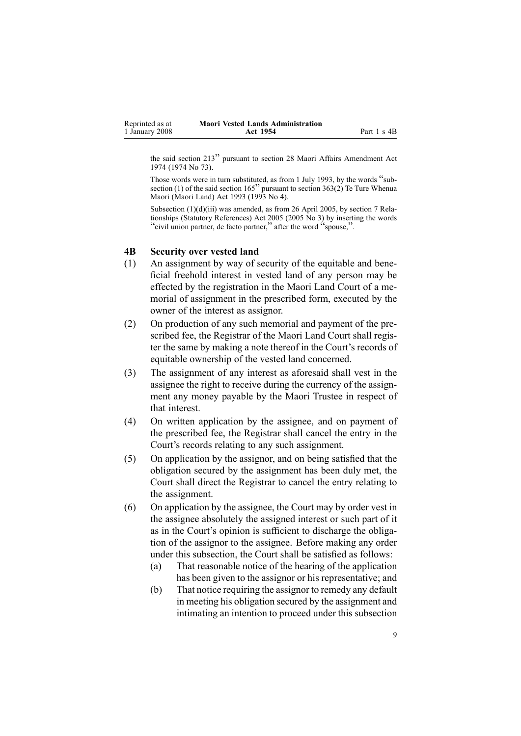<span id="page-8-0"></span>

| Reprinted as at | <b>Maori Vested Lands Administration</b> |             |
|-----------------|------------------------------------------|-------------|
| 1 January 2008  | Act 1954                                 | Part 1 s 4B |

the said section <sup>213</sup>" pursuan<sup>t</sup> to section <sup>28</sup> Maori Affairs Amendment Act 1974 (1974 No 73).

Those words were in turn substituted, as from <sup>1</sup> July 1993, by the words "sub-section (1) of the said section 165" pursuant to section [363\(2\)](http://www.legislation.govt.nz/pdfLink.aspx?id=DLM293026) Te Ture Whenua Maori (Maori Land) Act 1993 (1993 No 4).

Subsection (1)(d)(iii) was amended, as from 26 April 2005, by section [7](http://www.legislation.govt.nz/pdfLink.aspx?id=DLM333795) Relationships (Statutory References) Act 2005 (2005 No 3) by inserting the words "civil union partner, de facto partner," after the word "spouse,".

#### **4B Security over vested land**

- (1) An assignment by way of security of the equitable and beneficial freehold interest in vested land of any person may be effected by the registration in the Maori Land Court of <sup>a</sup> memorial of assignment in the prescribed form, executed by the owner of the interest as assignor.
- (2) On production of any such memorial and paymen<sup>t</sup> of the prescribed fee, the Registrar of the Maori Land Court shall register the same by making <sup>a</sup> note thereof in the Court's records of equitable ownership of the vested land concerned.
- (3) The assignment of any interest as aforesaid shall vest in the assignee the right to receive during the currency of the assignment any money payable by the Maori Trustee in respec<sup>t</sup> of that interest.
- (4) On written application by the assignee, and on paymen<sup>t</sup> of the prescribed fee, the Registrar shall cancel the entry in the Court's records relating to any such assignment.
- (5) On application by the assignor, and on being satisfied that the obligation secured by the assignment has been duly met, the Court shall direct the Registrar to cancel the entry relating to the assignment.
- (6) On application by the assignee, the Court may by order vest in the assignee absolutely the assigned interest or such par<sup>t</sup> of it as in the Court's opinion is sufficient to discharge the obligation of the assignor to the assignee. Before making any order under this subsection, the Court shall be satisfied as follows:
	- (a) That reasonable notice of the hearing of the application has been given to the assignor or his representative; and
	- (b) That notice requiring the assignor to remedy any default in meeting his obligation secured by the assignment and intimating an intention to proceed under this subsection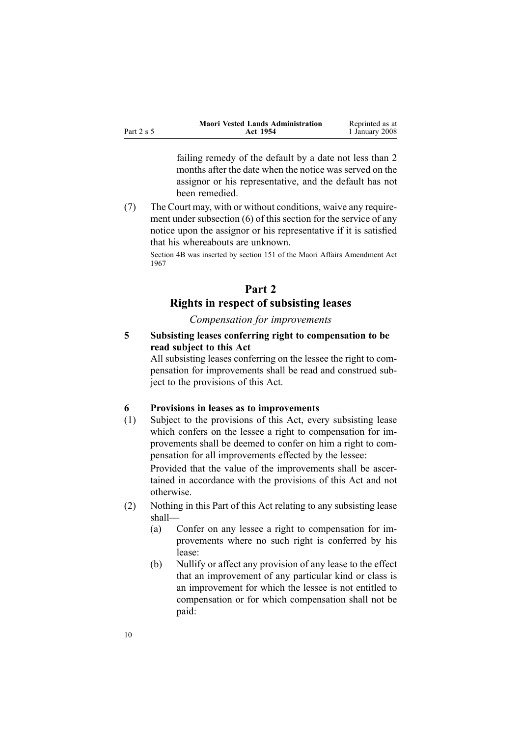<span id="page-9-0"></span>

|            | <b>Maori Vested Lands Administration</b> | Reprinted as at |
|------------|------------------------------------------|-----------------|
| Part 2 s 5 | Act 1954                                 | 1 January 2008  |

failing remedy of the default by <sup>a</sup> date not less than 2 months after the date when the notice was served on the assignor or his representative, and the default has not been remedied.

(7) The Court may, with or without conditions, waive any requirement under subsection [\(6\)](#page-8-0) of this section for the service of any notice upon the assignor or his representative if it is satisfied that his whereabouts are unknown.

Section 4B was inserted by section 151 of the Maori Affairs Amendment Act 1967

## **Part 2 Rights in respect of subsisting leases**

*Compensation for improvements*

**5 Subsisting leases conferring right to compensation to be read subject to this Act**

All subsisting leases conferring on the lessee the right to compensation for improvements shall be read and construed subject to the provisions of this Act.

### **6 Provisions in leases as to improvements**

(1) Subject to the provisions of this Act, every subsisting lease which confers on the lessee <sup>a</sup> right to compensation for improvements shall be deemed to confer on him <sup>a</sup> right to compensation for all improvements effected by the lessee:

Provided that the value of the improvements shall be ascertained in accordance with the provisions of this Act and not otherwise.

- (2) Nothing in this Part of this Act relating to any subsisting lease shall—
	- (a) Confer on any lessee <sup>a</sup> right to compensation for improvements where no such right is conferred by his lease:
	- (b) Nullify or affect any provision of any lease to the effect that an improvement of any particular kind or class is an improvement for which the lessee is not entitled to compensation or for which compensation shall not be paid: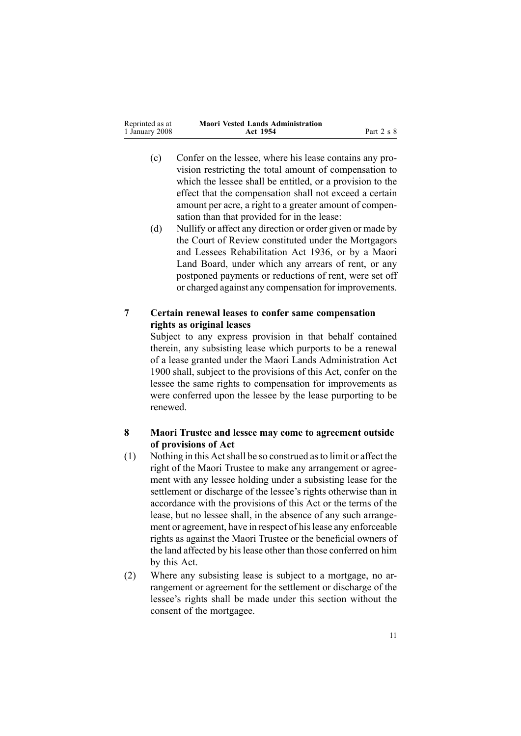<span id="page-10-0"></span>

| Reprinted as at | <b>Maori Vested Lands Administration</b> |            |
|-----------------|------------------------------------------|------------|
| 1 January 2008  | Act 1954                                 | Part 2 s 8 |

- (c) Confer on the lessee, where his lease contains any provision restricting the total amount of compensation to which the lessee shall be entitled, or <sup>a</sup> provision to the effect that the compensation shall not exceed <sup>a</sup> certain amount per acre, <sup>a</sup> right to <sup>a</sup> greater amount of compensation than that provided for in the lease:
- (d) Nullify or affect any direction or order given or made by the Court of Review constituted under the [Mortgagors](http://www.legislation.govt.nz/pdfLink.aspx?id=DLM219821) and Lessees [Rehabilitation](http://www.legislation.govt.nz/pdfLink.aspx?id=DLM219821) Act 1936, or by <sup>a</sup> Maori Land Board, under which any arrears of rent, or any postponed payments or reductions of rent, were set off or charged against any compensation for improvements.

### **7 Certain renewal leases to confer same compensation rights as original leases**

Subject to any express provision in that behalf contained therein, any subsisting lease which purports to be <sup>a</sup> renewal of <sup>a</sup> lease granted under the Maori Lands Administration Act 1900 shall, subject to the provisions of this Act, confer on the lessee the same rights to compensation for improvements as were conferred upon the lessee by the lease purporting to be renewed.

### **8 Maori Trustee and lessee may come to agreement outside of provisions of Act**

- (1) Nothing in this Actshall be so construed asto limit or affect the right of the Maori Trustee to make any arrangemen<sup>t</sup> or agreement with any lessee holding under <sup>a</sup> subsisting lease for the settlement or discharge of the lessee's rights otherwise than in accordance with the provisions of this Act or the terms of the lease, but no lessee shall, in the absence of any such arrangement or agreement, have in respect of his lease any enforceable rights as against the Maori Trustee or the beneficial owners of the land affected by his lease other than those conferred on him by this Act.
- (2) Where any subsisting lease is subject to <sup>a</sup> mortgage, no arrangemen<sup>t</sup> or agreemen<sup>t</sup> for the settlement or discharge of the lessee's rights shall be made under this section without the consent of the mortgagee.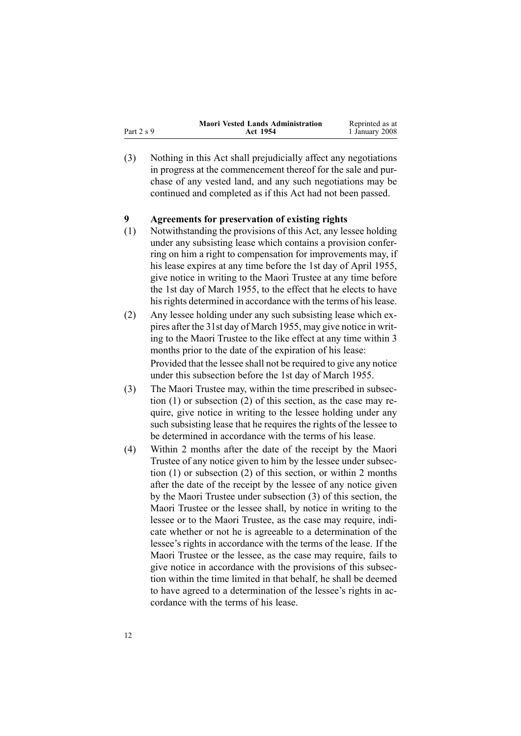<span id="page-11-0"></span>

|              | <b>Maori Vested Lands Administration</b> | Reprinted as at |
|--------------|------------------------------------------|-----------------|
| Part $2 s 9$ | Act 1954                                 | 1 January 2008  |

(3) Nothing in this Act shall prejudicially affect any negotiations in progress at the commencement thereof for the sale and purchase of any vested land, and any such negotiations may be continued and completed as if this Act had not been passed.

#### **9 Agreements for preservation of existing rights**

- (1) Notwithstanding the provisions of this Act, any lessee holding under any subsisting lease which contains <sup>a</sup> provision conferring on him <sup>a</sup> right to compensation for improvements may, if his lease expires at any time before the 1st day of April 1955, give notice in writing to the Maori Trustee at any time before the 1st day of March 1955, to the effect that he elects to have his rights determined in accordance with the terms of his lease.
- (2) Any lessee holding under any such subsisting lease which expires after the 31st day of March 1955, may give notice in writing to the Maori Trustee to the like effect at any time within 3 months prior to the date of the expiration of his lease: Provided that the lessee shall not be required to give any notice under this subsection before the 1st day of March 1955.
- (3) The Maori Trustee may, within the time prescribed in subsection (1) or subsection (2) of this section, as the case may require, give notice in writing to the lessee holding under any such subsisting lease that he requires the rights of the lessee to be determined in accordance with the terms of his lease.
- (4) Within 2 months after the date of the receipt by the Maori Trustee of any notice given to him by the lessee under subsection (1) or subsection (2) of this section, or within 2 months after the date of the receipt by the lessee of any notice given by the Maori Trustee under subsection (3) of this section, the Maori Trustee or the lessee shall, by notice in writing to the lessee or to the Maori Trustee, as the case may require, indicate whether or not he is agreeable to <sup>a</sup> determination of the lessee's rights in accordance with the terms of the lease. If the Maori Trustee or the lessee, as the case may require, fails to give notice in accordance with the provisions of this subsection within the time limited in that behalf, he shall be deemed to have agreed to <sup>a</sup> determination of the lessee's rights in accordance with the terms of his lease.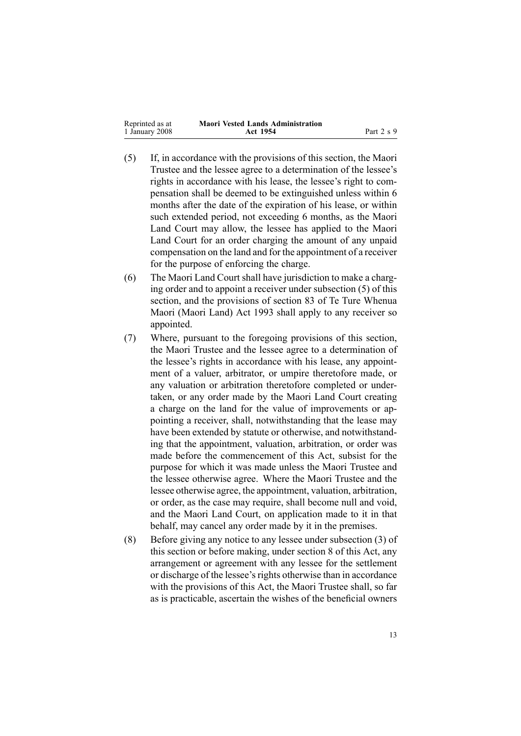| Reprinted as at | <b>Maori Vested Lands Administration</b> |            |
|-----------------|------------------------------------------|------------|
| 1 January 2008  | Act 1954                                 | Part 2 s 9 |

- (5) If, in accordance with the provisions of this section, the Maori Trustee and the lessee agree to <sup>a</sup> determination of the lessee's rights in accordance with his lease, the lessee's right to compensation shall be deemed to be extinguished unless within 6 months after the date of the expiration of his lease, or within such extended period, not exceeding 6 months, as the Maori Land Court may allow, the lessee has applied to the Maori Land Court for an order charging the amount of any unpaid compensation on the land and for the appointment of <sup>a</sup> receiver for the purpose of enforcing the charge.
- (6) The Maori Land Court shall have jurisdiction to make <sup>a</sup> charging order and to appoint <sup>a</sup> receiver under subsection [\(5\)](#page-11-0) of this section, and the provisions of section [83](http://www.legislation.govt.nz/pdfLink.aspx?id=DLM290978) of Te Ture [Whenua](http://www.legislation.govt.nz/pdfLink.aspx?id=DLM289881) Maori [\(Maori](http://www.legislation.govt.nz/pdfLink.aspx?id=DLM289881) Land) Act 1993 shall apply to any receiver so appointed.
- (7) Where, pursuan<sup>t</sup> to the foregoing provisions of this section, the Maori Trustee and the lessee agree to <sup>a</sup> determination of the lessee's rights in accordance with his lease, any appointment of <sup>a</sup> valuer, arbitrator, or umpire theretofore made, or any valuation or arbitration theretofore completed or undertaken, or any order made by the Maori Land Court creating <sup>a</sup> charge on the land for the value of improvements or appointing <sup>a</sup> receiver, shall, notwithstanding that the lease may have been extended by statute or otherwise, and notwithstanding that the appointment, valuation, arbitration, or order was made before the commencement of this Act, subsist for the purpose for which it was made unless the Maori Trustee and the lessee otherwise agree. Where the Maori Trustee and the lessee otherwise agree, the appointment, valuation, arbitration, or order, as the case may require, shall become null and void, and the Maori Land Court, on application made to it in that behalf, may cancel any order made by it in the premises.
- (8) Before giving any notice to any lessee under subsection [\(3\)](#page-11-0) of this section or before making, under section [8](#page-10-0) of this Act, any arrangemen<sup>t</sup> or agreemen<sup>t</sup> with any lessee for the settlement or discharge of the lessee's rights otherwise than in accordance with the provisions of this Act, the Maori Trustee shall, so far as is practicable, ascertain the wishes of the beneficial owners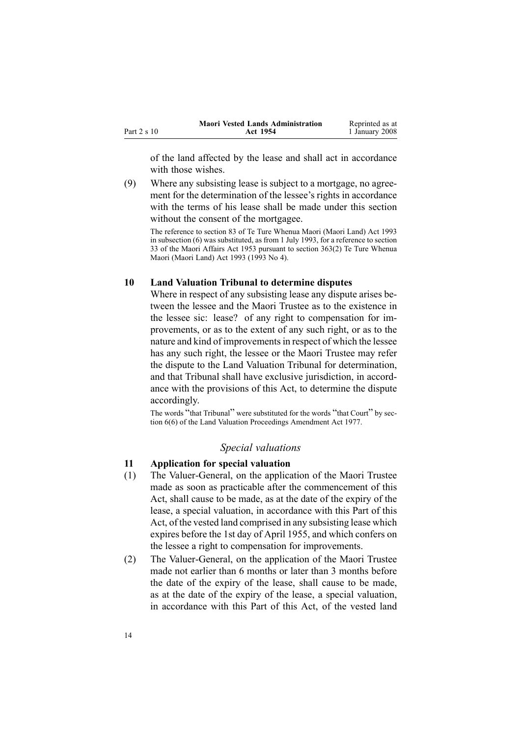<span id="page-13-0"></span>

|             | <b>Maori Vested Lands Administration</b> | Reprinted as at |
|-------------|------------------------------------------|-----------------|
| Part 2 s 10 | Act 1954                                 | 1 January 2008  |

of the land affected by the lease and shall act in accordance with those wishes.

(9) Where any subsisting lease is subject to <sup>a</sup> mortgage, no agreement for the determination of the lessee's rights in accordance with the terms of his lease shall be made under this section without the consent of the mortgagee.

The reference to section 83 of Te Ture Whenua Maori (Maori Land) Act 1993 in subsection (6) was substituted, as from 1 July 1993, for <sup>a</sup> reference to section 33 of the Maori Affairs Act 1953 pursuan<sup>t</sup> to section [363\(2\)](http://www.legislation.govt.nz/pdfLink.aspx?id=DLM293026) Te Ture Whenua Maori (Maori Land) Act 1993 (1993 No 4).

### **10 Land Valuation Tribunal to determine disputes**

Where in respec<sup>t</sup> of any subsisting lease any dispute arises between the lessee and the Maori Trustee as to the existence in the lessee sic: lease? of any right to compensation for improvements, or as to the extent of any such right, or as to the nature and kind of improvements in respect of which the lessee has any such right, the lessee or the Maori Trustee may refer the dispute to the Land Valuation Tribunal for determination, and that Tribunal shall have exclusive jurisdiction, in accordance with the provisions of this Act, to determine the dispute accordingly.

The words "that Tribunal" were substituted for the words "that Court" by section [6\(6\)](http://www.legislation.govt.nz/pdfLink.aspx?id=DLM442575) of the Land Valuation Proceedings Amendment Act 1977.

#### *Special valuations*

#### **11 Application for special valuation**

- (1) The Valuer-General, on the application of the Maori Trustee made as soon as practicable after the commencement of this Act, shall cause to be made, as at the date of the expiry of the lease, <sup>a</sup> special valuation, in accordance with this Part of this Act, of the vested land comprised in any subsisting lease which expires before the 1st day of April 1955, and which confers on the lessee <sup>a</sup> right to compensation for improvements.
- (2) The Valuer-General, on the application of the Maori Trustee made not earlier than 6 months or later than 3 months before the date of the expiry of the lease, shall cause to be made, as at the date of the expiry of the lease, <sup>a</sup> special valuation, in accordance with this Part of this Act, of the vested land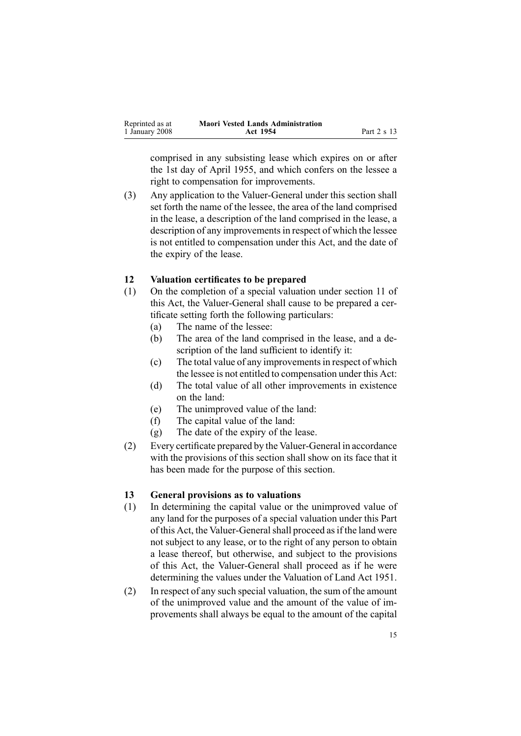<span id="page-14-0"></span>

| Reprinted as at | <b>Maori Vested Lands Administration</b> |             |
|-----------------|------------------------------------------|-------------|
| 1 January 2008  | Act 1954                                 | Part 2 s 13 |

comprised in any subsisting lease which expires on or after the 1st day of April 1955, and which confers on the lessee <sup>a</sup> right to compensation for improvements.

(3) Any application to the Valuer-General under this section shall set forth the name of the lessee, the area of the land comprised in the lease, <sup>a</sup> description of the land comprised in the lease, <sup>a</sup> description of any improvements in respect of which the lessee is not entitled to compensation under this Act, and the date of the expiry of the lease.

#### **12 Valuation certificates to be prepared**

- (1) On the completion of <sup>a</sup> special valuation under section [11](#page-13-0) of this Act, the Valuer-General shall cause to be prepared a certificate setting forth the following particulars:
	- (a) The name of the lessee:
	- (b) The area of the land comprised in the lease, and <sup>a</sup> description of the land sufficient to identify it:
	- (c) The total value of any improvementsin respec<sup>t</sup> of which the lessee is not entitled to compensation under this Act:
	- (d) The total value of all other improvements in existence on the land:
	- (e) The unimproved value of the land:
	- (f) The capital value of the land:
	- (g) The date of the expiry of the lease.
- $(2)$  Every certificate prepared by the Valuer-General in accordance with the provisions of this section shall show on its face that it has been made for the purpose of this section.

#### **13 General provisions as to valuations**

- (1) In determining the capital value or the unimproved value of any land for the purposes of <sup>a</sup> special valuation under this Part of this Act, the Valuer-General shall proceed as if the land were not subject to any lease, or to the right of any person to obtain <sup>a</sup> lease thereof, but otherwise, and subject to the provisions of this Act, the Valuer-General shall proceed as if he were determining the values under the Valuation of Land Act 1951.
- (2) In respec<sup>t</sup> of any such special valuation, the sum of the amount of the unimproved value and the amount of the value of improvements shall always be equal to the amount of the capital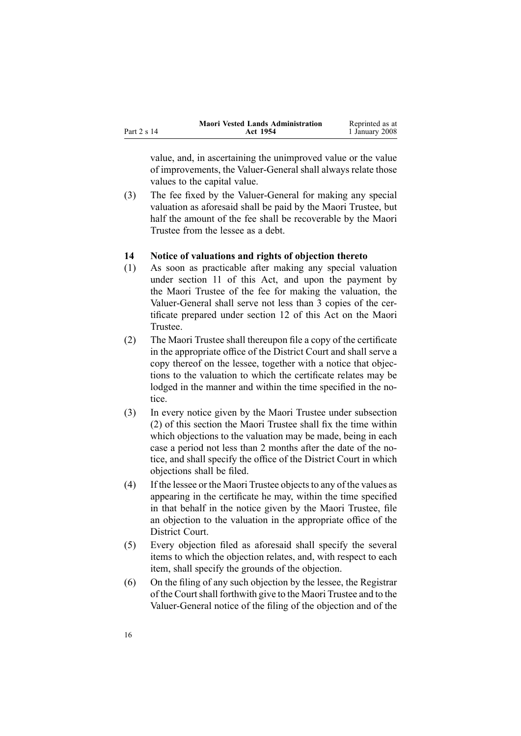<span id="page-15-0"></span>

|             | <b>Maori Vested Lands Administration</b> | Reprinted as at |
|-------------|------------------------------------------|-----------------|
| Part 2 s 14 | Act 1954                                 | 1 January 2008  |

value, and, in ascertaining the unimproved value or the value of improvements, the Valuer-General shall always relate those values to the capital value.

(3) The fee fixed by the Valuer-General for making any special valuation as aforesaid shall be paid by the Maori Trustee, but half the amount of the fee shall be recoverable by the Maori Trustee from the lessee as <sup>a</sup> debt.

#### **14 Notice of valuations and rights of objection thereto**

- (1) As soon as practicable after making any special valuation under section [11](#page-13-0) of this Act, and upon the paymen<sup>t</sup> by the Maori Trustee of the fee for making the valuation, the Valuer-General shall serve not less than 3 copies of the certificate prepared under section [12](#page-14-0) of this Act on the Maori **Trustee.**
- (2) The Maori Trustee shall thereupon file <sup>a</sup> copy of the certificate in the appropriate office of the District Court and shall serve <sup>a</sup> copy thereof on the lessee, together with <sup>a</sup> notice that objections to the valuation to which the certificate relates may be lodged in the manner and within the time specified in the notice.
- (3) In every notice given by the Maori Trustee under subsection (2) of this section the Maori Trustee shall fix the time within which objections to the valuation may be made, being in each case <sup>a</sup> period not less than 2 months after the date of the notice, and shall specify the office of the District Court in which objections shall be filed.
- $(4)$  If the lessee or the Maori Trustee objects to any of the values as appearing in the certificate he may, within the time specified in that behalf in the notice given by the Maori Trustee, file an objection to the valuation in the appropriate office of the District Court.
- (5) Every objection filed as aforesaid shall specify the several items to which the objection relates, and, with respec<sup>t</sup> to each item, shall specify the grounds of the objection.
- (6) On the filing of any such objection by the lessee, the Registrar of the Courtshall forthwith give to the Maori Trustee and to the Valuer-General notice of the filing of the objection and of the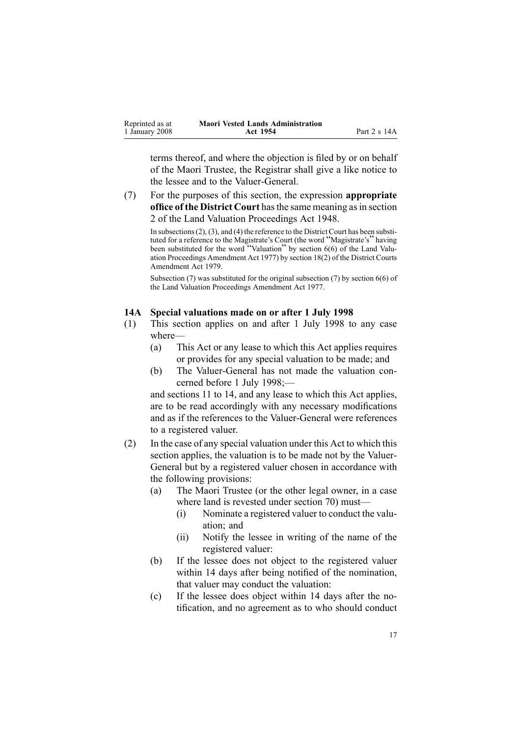<span id="page-16-0"></span>

| Reprinted as at | <b>Maori Vested Lands Administration</b> |              |
|-----------------|------------------------------------------|--------------|
| 1 January 2008  | Act 1954                                 | Part 2 s 14A |

terms thereof, and where the objection is filed by or on behalf of the Maori Trustee, the Registrar shall give <sup>a</sup> like notice to the lessee and to the Valuer-General.

(7) For the purposes of this section, the expression **appropriate office of the District Court** hasthe same meaning asin section [2](http://www.legislation.govt.nz/pdfLink.aspx?id=DLM249219) of the Land Valuation [Proceedings](http://www.legislation.govt.nz/pdfLink.aspx?id=DLM249212) Act 1948.

In subsections  $(2)$ ,  $(3)$ , and  $(4)$  the reference to the District Court has been substituted for <sup>a</sup> reference to the Magistrate's Court (the word "Magistrate's" having been substituted for the word "Valuation" by section [6\(6\)](http://www.legislation.govt.nz/pdfLink.aspx?id=DLM442575) of the Land Valuation Proceedings Amendment Act 1977) by section [18\(2\)](http://www.legislation.govt.nz/pdfLink.aspx?id=DLM35085) of the District Courts Amendment Act 1979.

Subsection (7) was substituted for the original subsection (7) by section [6\(6\)](http://www.legislation.govt.nz/pdfLink.aspx?id=DLM442575) of the Land Valuation Proceedings Amendment Act 1977.

#### **14A Special valuations made on or after 1 July 1998**

- (1) This section applies on and after 1 July 1998 to any case where—
	- (a) This Act or any lease to which this Act applies requires or provides for any special valuation to be made; and
	- (b) The Valuer-General has not made the valuation concerned before 1 July 1998;—

and sections 11 to [14](#page-13-0), and any lease to which this Act applies, are to be read accordingly with any necessary modifications and as if the references to the Valuer-General were references to <sup>a</sup> registered valuer.

- (2) In the case of any special valuation under this Act to which this section applies, the valuation is to be made not by the Valuer-General but by <sup>a</sup> registered valuer chosen in accordance with the following provisions:
	- (a) The Maori Trustee (or the other legal owner, in <sup>a</sup> case where land is revested under section [70](#page-44-0)) must—
		- (i) Nominate <sup>a</sup> registered valuer to conduct the valuation; and
		- (ii) Notify the lessee in writing of the name of the registered valuer:
	- (b) If the lessee does not object to the registered valuer within 14 days after being notified of the nomination, that valuer may conduct the valuation:
	- (c) If the lessee does object within 14 days after the notification, and no agreemen<sup>t</sup> as to who should conduct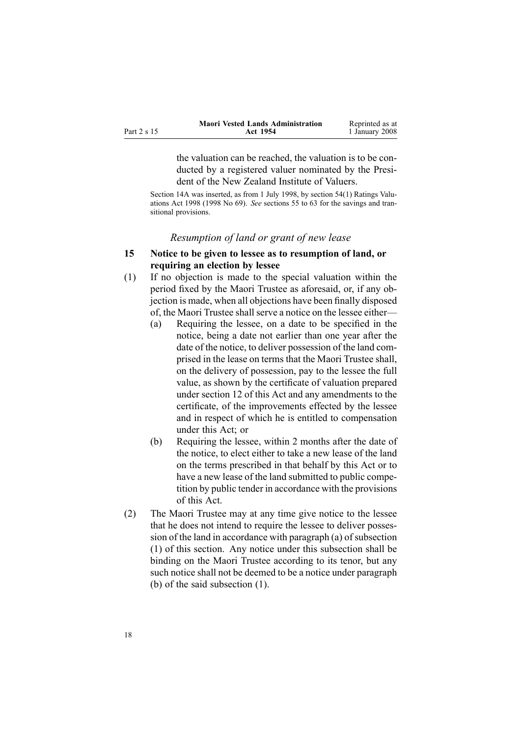<span id="page-17-0"></span>

|             | <b>Maori Vested Lands Administration</b> | Reprinted as at |
|-------------|------------------------------------------|-----------------|
| Part 2 s 15 | Act 1954                                 | 1 January 2008  |

the valuation can be reached, the valuation is to be conducted by <sup>a</sup> registered valuer nominated by the President of the New Zealand Institute of Valuers.

Section 14A was inserted, as from 1 July 1998, by section [54\(1\)](http://www.legislation.govt.nz/pdfLink.aspx?id=DLM427717) Ratings Valuations Act 1998 (1998 No 69). *See* sections 55 to [63](http://www.legislation.govt.nz/pdfLink.aspx?id=DLM427719) for the savings and transitional provisions.

#### *Resumption of land or gran<sup>t</sup> of new lease*

### **15 Notice to be given to lessee as to resumption of land, or requiring an election by lessee**

- (1) If no objection is made to the special valuation within the period fixed by the Maori Trustee as aforesaid, or, if any objection is made, when all objections have been finally disposed of, the Maori Trustee shall serve a notice on the lessee either—
	- (a) Requiring the lessee, on <sup>a</sup> date to be specified in the notice, being <sup>a</sup> date not earlier than one year after the date of the notice, to deliver possession of the land comprised in the lease on terms that the Maori Trustee shall, on the delivery of possession, pay to the lessee the full value, as shown by the certificate of valuation prepared under section [12](#page-14-0) of this Act and any amendments to the certificate, of the improvements effected by the lessee and in respec<sup>t</sup> of which he is entitled to compensation under this Act; or
	- (b) Requiring the lessee, within 2 months after the date of the notice, to elect either to take <sup>a</sup> new lease of the land on the terms prescribed in that behalf by this Act or to have <sup>a</sup> new lease of the land submitted to public competition by public tender in accordance with the provisions of this Act.
- (2) The Maori Trustee may at any time give notice to the lessee that he does not intend to require the lessee to deliver possession of the land in accordance with paragraph  $(a)$  of subsection (1) of this section. Any notice under this subsection shall be binding on the Maori Trustee according to its tenor, but any such notice shall not be deemed to be <sup>a</sup> notice under paragraph (b) of the said subsection (1).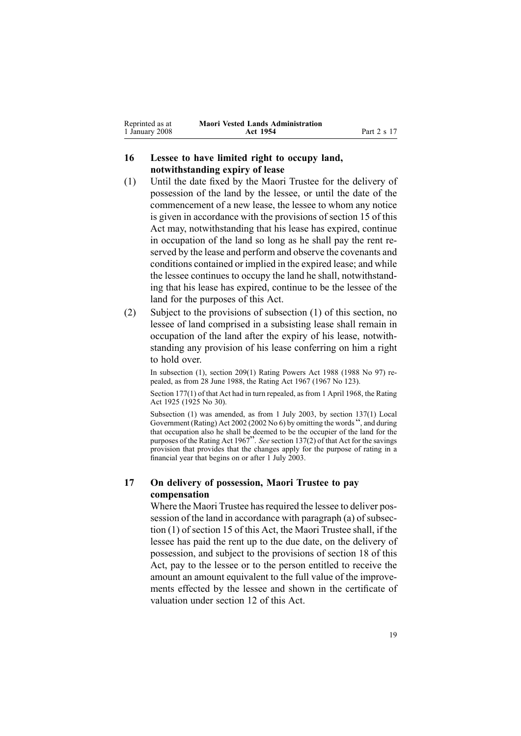<span id="page-18-0"></span>

| Reprinted as at | <b>Maori Vested Lands Administration</b> |             |
|-----------------|------------------------------------------|-------------|
| 1 January 2008  | Act 1954                                 | Part 2 s 17 |

### **16 Lessee to have limited right to occupy land, notwithstanding expiry of lease**

- (1) Until the date fixed by the Maori Trustee for the delivery of possession of the land by the lessee, or until the date of the commencement of <sup>a</sup> new lease, the lessee to whom any notice is given in accordance with the provisions of section [15](#page-17-0) of this Act may, notwithstanding that his lease has expired, continue in occupation of the land so long as he shall pay the rent reserved by the lease and perform and observe the covenants and conditions contained or implied in the expired lease; and while the lessee continues to occupy the land he shall, notwithstanding that his lease has expired, continue to be the lessee of the land for the purposes of this Act.
- (2) Subject to the provisions of subsection (1) of this section, no lessee of land comprised in <sup>a</sup> subsisting lease shall remain in occupation of the land after the expiry of his lease, notwithstanding any provision of his lease conferring on him <sup>a</sup> right to hold over.

In subsection (1), section 209(1) Rating Powers Act 1988 (1988 No 97) repealed, as from 28 June 1988, the Rating Act 1967 (1967 No 123).

Section 177(1) of that Act had in turn repealed, as from 1 April 1968, the Rating Act 1925 (1925 No 30).

Subsection (1) was amended, as from 1 July 2003, by section [137\(1\)](http://www.legislation.govt.nz/pdfLink.aspx?id=DLM133500) Local Government (Rating) Act <sup>2002</sup> (2002 No 6) by omitting the words ", and during that occupation also he shall be deemed to be the occupier of the land for the purposes of the Rating Act <sup>1967</sup>". *See* section [137\(2\)](http://www.legislation.govt.nz/pdfLink.aspx?id=DLM133500) of that Act for the savings provision that provides that the changes apply for the purpose of rating in <sup>a</sup> financial year that begins on or after 1 July 2003.

### **17 On delivery of possession, Maori Trustee to pay compensation**

Where the Maori Trustee has required the lessee to deliver pos-session of the land in accordance with paragraph [\(a\)](#page-17-0) of subsection (1) of section 15 of this Act, the Maori Trustee shall, if the lessee has paid the rent up to the due date, on the delivery of possession, and subject to the provisions of section [18](#page-19-0) of this Act, pay to the lessee or to the person entitled to receive the amount an amount equivalent to the full value of the improvements effected by the lessee and shown in the certificate of valuation under section [12](#page-14-0) of this Act.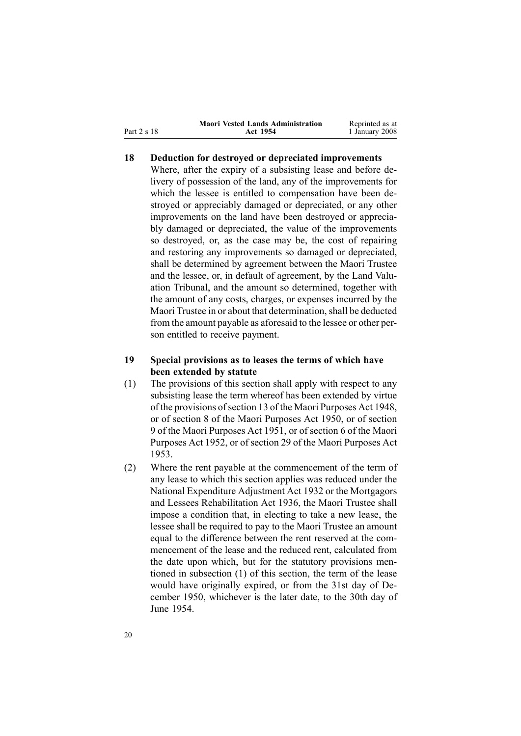<span id="page-19-0"></span>Part 2 <sup>s</sup> 18

### **18 Deduction for destroyed or depreciated improvements**

Where, after the expiry of <sup>a</sup> subsisting lease and before delivery of possession of the land, any of the improvements for which the lessee is entitled to compensation have been destroyed or appreciably damaged or depreciated, or any other improvements on the land have been destroyed or appreciably damaged or depreciated, the value of the improvements so destroyed, or, as the case may be, the cost of repairing and restoring any improvements so damaged or depreciated, shall be determined by agreemen<sup>t</sup> between the Maori Trustee and the lessee, or, in default of agreement, by the Land Valuation Tribunal, and the amount so determined, together with the amount of any costs, charges, or expenses incurred by the Maori Trustee in or about that determination, shall be deducted from the amount payable as aforesaid to the lessee or other person entitled to receive payment.

### **19 Special provisions as to leases the terms of which have been extended by statute**

- (1) The provisions of this section shall apply with respec<sup>t</sup> to any subsisting lease the term whereof has been extended by virtue of the provisions of section [13](http://www.legislation.govt.nz/pdfLink.aspx?id=DLM254468) of the Maori [Purposes](http://www.legislation.govt.nz/pdfLink.aspx?id=DLM254439) Act 1948. or of section 8 of the Maori Purposes Act 1950, or of section [9](http://www.legislation.govt.nz/pdfLink.aspx?id=DLM264512) of the Maori [Purposes](http://www.legislation.govt.nz/pdfLink.aspx?id=DLM264192) Act 1951, or of section [6](http://www.legislation.govt.nz/pdfLink.aspx?id=DLM275633) of the [Maori](http://www.legislation.govt.nz/pdfLink.aspx?id=DLM275619) [Purposes](http://www.legislation.govt.nz/pdfLink.aspx?id=DLM275619) Act 1952, or of section [29](http://www.legislation.govt.nz/pdfLink.aspx?id=DLM284302) of the Maori [Purposes](http://www.legislation.govt.nz/pdfLink.aspx?id=DLM283859) Act [1953](http://www.legislation.govt.nz/pdfLink.aspx?id=DLM283859).
- (2) Where the rent payable at the commencement of the term of any lease to which this section applies was reduced under the National [Expenditure](http://www.legislation.govt.nz/pdfLink.aspx?id=DLM212211) Adjustment Act 1932 or the [Mortgagors](http://www.legislation.govt.nz/pdfLink.aspx?id=DLM219821) and Lessees [Rehabilitation](http://www.legislation.govt.nz/pdfLink.aspx?id=DLM219821) Act 1936, the Maori Trustee shall impose <sup>a</sup> condition that, in electing to take <sup>a</sup> new lease, the lessee shall be required to pay to the Maori Trustee an amount equal to the difference between the rent reserved at the commencement of the lease and the reduced rent, calculated from the date upon which, but for the statutory provisions mentioned in subsection (1) of this section, the term of the lease would have originally expired, or from the 31st day of December 1950, whichever is the later date, to the 30th day of June 1954.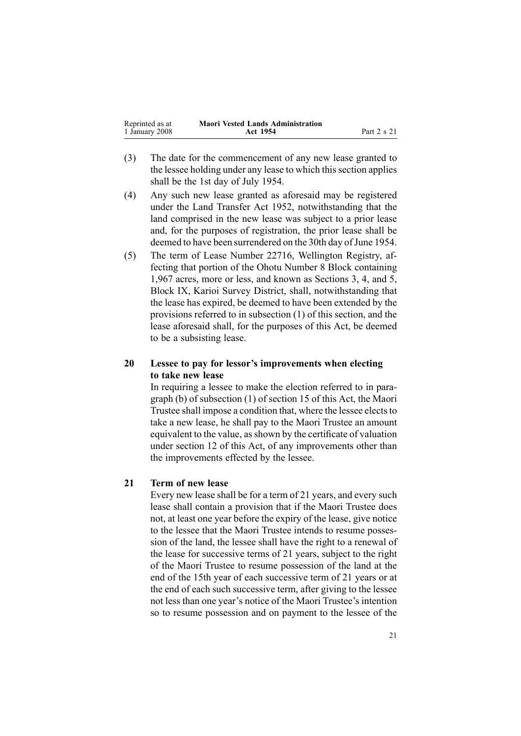<span id="page-20-0"></span>

| Reprinted as at | <b>Maori Vested Lands Administration</b> |             |
|-----------------|------------------------------------------|-------------|
| 1 January 2008  | Act 1954                                 | Part 2 s 21 |

- (3) The date for the commencement of any new lease granted to the lessee holding under any lease to which this section applies shall be the 1st day of July 1954.
- (4) Any such new lease granted as aforesaid may be registered under the Land [Transfer](http://www.legislation.govt.nz/pdfLink.aspx?id=DLM269031) Act 1952, notwithstanding that the land comprised in the new lease was subject to <sup>a</sup> prior lease and, for the purposes of registration, the prior lease shall be deemed to have been surrendered on the 30th day of June 1954.
- (5) The term of Lease Number 22716, Wellington Registry, affecting that portion of the Ohotu Number 8 Block containing 1,967 acres, more or less, and known as Sections 3, 4, and 5, Block IX, Karioi Survey District, shall, notwithstanding that the lease has expired, be deemed to have been extended by the provisions referred to in subsection [\(1\)](#page-19-0) of this section, and the lease aforesaid shall, for the purposes of this Act, be deemed to be <sup>a</sup> subsisting lease.

### **20 Lessee to pay for lessor's improvements when electing to take new lease**

In requiring <sup>a</sup> lessee to make the election referred to in paragraph [\(b\)](#page-17-0) of subsection (1) of section 15 of this Act, the Maori Trustee shall impose a condition that, where the lessee elects to take <sup>a</sup> new lease, he shall pay to the Maori Trustee an amount equivalent to the value, asshown by the certificate of valuation under section [12](#page-14-0) of this Act, of any improvements other than the improvements effected by the lessee.

#### **21 Term of new lease**

Every new lease shall be for <sup>a</sup> term of 21 years, and every such lease shall contain <sup>a</sup> provision that if the Maori Trustee does not, at least one year before the expiry of the lease, give notice to the lessee that the Maori Trustee intends to resume possession of the land, the lessee shall have the right to <sup>a</sup> renewal of the lease for successive terms of 21 years, subject to the right of the Maori Trustee to resume possession of the land at the end of the 15th year of each successive term of 21 years or at the end of each such successive term, after giving to the lessee not less than one year's notice of the Maori Trustee's intention so to resume possession and on paymen<sup>t</sup> to the lessee of the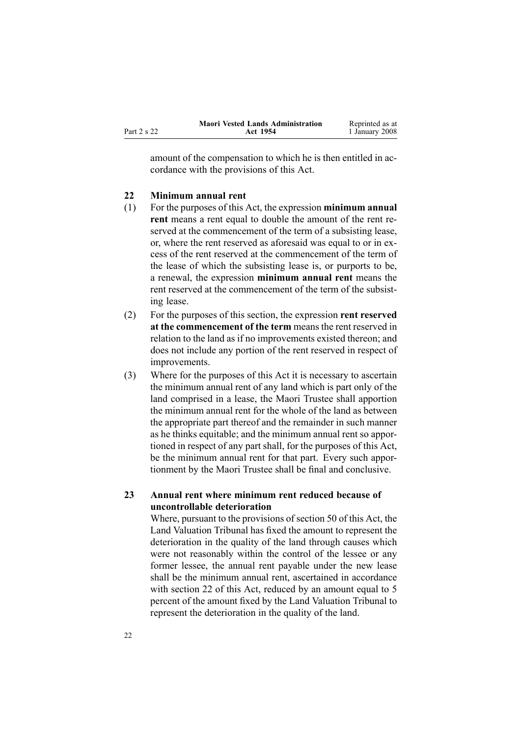<span id="page-21-0"></span>

|             | <b>Maori Vested Lands Administration</b> | Reprinted as at |
|-------------|------------------------------------------|-----------------|
| Part 2 s 22 | Act 1954                                 | 1 January 2008  |

amount of the compensation to which he is then entitled in accordance with the provisions of this Act.

#### **22 Minimum annual rent**

- (1) For the purposes of this Act, the expression **minimum annual rent** means <sup>a</sup> rent equal to double the amount of the rent reserved at the commencement of the term of <sup>a</sup> subsisting lease, or, where the rent reserved as aforesaid was equal to or in excess of the rent reserved at the commencement of the term of the lease of which the subsisting lease is, or purports to be, <sup>a</sup> renewal, the expression **minimum annual rent** means the rent reserved at the commencement of the term of the subsisting lease.
- (2) For the purposes of this section, the expression **rent reserved at the commencement of the term** means the rent reserved in relation to the land as if no improvements existed thereon; and does not include any portion of the rent reserved in respec<sup>t</sup> of improvements.
- (3) Where for the purposes of this Act it is necessary to ascertain the minimum annual rent of any land which is par<sup>t</sup> only of the land comprised in <sup>a</sup> lease, the Maori Trustee shall apportion the minimum annual rent for the whole of the land as between the appropriate par<sup>t</sup> thereof and the remainder in such manner as he thinks equitable; and the minimum annual rent so apportioned in respec<sup>t</sup> of any par<sup>t</sup> shall, for the purposes of this Act, be the minimum annual rent for that part. Every such apportionment by the Maori Trustee shall be final and conclusive.

### **23 Annual rent where minimum rent reduced because of uncontrollable deterioration**

Where, pursuan<sup>t</sup> to the provisions of section [50](#page-34-0) of this Act, the Land Valuation Tribunal has fixed the amount to represen<sup>t</sup> the deterioration in the quality of the land through causes which were not reasonably within the control of the lessee or any former lessee, the annual rent payable under the new lease shall be the minimum annual rent, ascertained in accordance with section 22 of this Act, reduced by an amount equal to 5 percen<sup>t</sup> of the amount fixed by the Land Valuation Tribunal to represen<sup>t</sup> the deterioration in the quality of the land.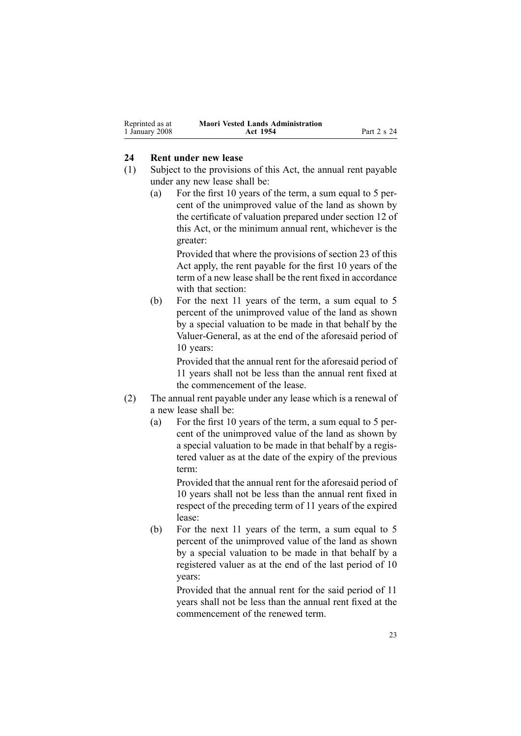<span id="page-22-0"></span>

| Reprinted as at | <b>Maori Vested Lands Administration</b> |             |
|-----------------|------------------------------------------|-------------|
| 1 January 2008  | Act 1954                                 | Part 2 s 24 |

#### **24 Rent under new lease**

- (1) Subject to the provisions of this Act, the annual rent payable under any new lease shall be:
	- (a) For the first 10 years of the term, <sup>a</sup> sum equal to 5 percent of the unimproved value of the land as shown by the certificate of valuation prepared under section [12](#page-14-0) of this Act, or the minimum annual rent, whichever is the greater:

Provided that where the provisions of section [23](#page-21-0) of this Act apply, the rent payable for the first 10 years of the term of <sup>a</sup> new lease shall be the rent fixed in accordance with that section:

(b) For the next 11 years of the term, <sup>a</sup> sum equal to 5 percen<sup>t</sup> of the unimproved value of the land as shown by <sup>a</sup> special valuation to be made in that behalf by the Valuer-General, as at the end of the aforesaid period of 10 years:

> Provided that the annual rent for the aforesaid period of 11 years shall not be less than the annual rent fixed at the commencement of the lease.

- (2) The annual rent payable under any lease which is <sup>a</sup> renewal of <sup>a</sup> new lease shall be:
	- (a) For the first 10 years of the term, <sup>a</sup> sum equal to 5 percent of the unimproved value of the land as shown by <sup>a</sup> special valuation to be made in that behalf by <sup>a</sup> registered valuer as at the date of the expiry of the previous term:

Provided that the annual rent for the aforesaid period of 10 years shall not be less than the annual rent fixed in respec<sup>t</sup> of the preceding term of 11 years of the expired lease:

(b) For the next 11 years of the term, <sup>a</sup> sum equal to 5 percen<sup>t</sup> of the unimproved value of the land as shown by <sup>a</sup> special valuation to be made in that behalf by <sup>a</sup> registered valuer as at the end of the last period of 10 years:

> Provided that the annual rent for the said period of 11 years shall not be less than the annual rent fixed at the commencement of the renewed term.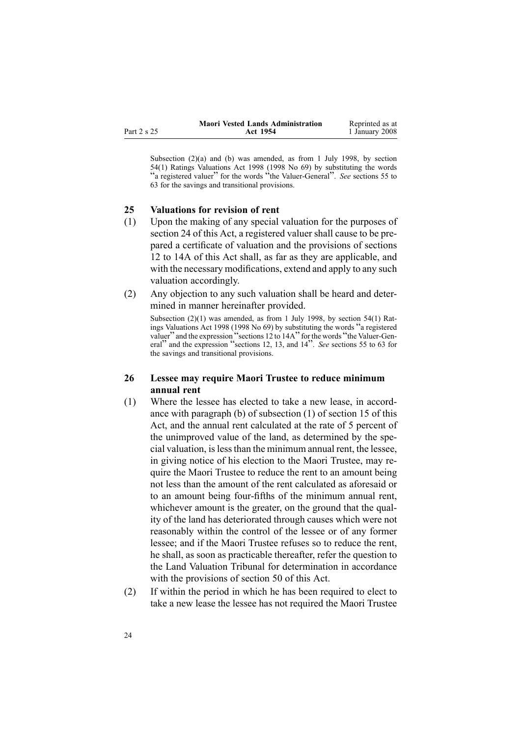<span id="page-23-0"></span>

|          | <b>Maori Vested Lands Administration</b> | Reprinted as at |
|----------|------------------------------------------|-----------------|
| t 2 s 25 | Act 1954                                 | 1 January 2008  |

Subsection (2)(a) and (b) was amended, as from 1 July 1998, by section [54\(1\)](http://www.legislation.govt.nz/pdfLink.aspx?id=DLM427717) Ratings Valuations Act 1998 (1998 No 69) by substituting the words "<sup>a</sup> registered valuer" for the words "the ValuerGeneral". *See* sections [55](http://www.legislation.govt.nz/pdfLink.aspx?id=DLM427719) to [63](http://www.legislation.govt.nz/pdfLink.aspx?id=DLM427719) for the savings and transitional provisions.

#### **25 Valuations for revision of rent**

- (1) Upon the making of any special valuation for the purposes of section [24](#page-22-0) of this Act, <sup>a</sup> registered valuer shall cause to be prepared <sup>a</sup> certificate of valuation and the provisions of sections 12 to [14A](#page-14-0) of this Act shall, as far as they are applicable, and with the necessary modifications, extend and apply to any such valuation accordingly.
- (2) Any objection to any such valuation shall be heard and determined in manner hereinafter provided.

Subsection (2)(1) was amended, as from 1 July 1998, by section [54\(1\)](http://www.legislation.govt.nz/pdfLink.aspx?id=DLM427717) Ratings Valuations Act <sup>1998</sup> (1998 No 69) by substituting the words "<sup>a</sup> registered valuer" and the expression "sections 12 to 14A" for the words "the Valuer-General" and the expression "sections 12, 13, and <sup>14</sup>". *See* sections <sup>55</sup> to [63](http://www.legislation.govt.nz/pdfLink.aspx?id=DLM427719) for the savings and transitional provisions.

### **26 Lessee may require Maori Trustee to reduce minimum annual rent**

- (1) Where the lessee has elected to take <sup>a</sup> new lease, in accordance with paragraph [\(b\)](#page-17-0) of subsection (1) of section 15 of this Act, and the annual rent calculated at the rate of 5 percen<sup>t</sup> of the unimproved value of the land, as determined by the special valuation, islessthan the minimum annual rent, the lessee, in giving notice of his election to the Maori Trustee, may require the Maori Trustee to reduce the rent to an amount being not less than the amount of the rent calculated as aforesaid or to an amount being four-fifths of the minimum annual rent, whichever amount is the greater, on the ground that the quality of the land has deteriorated through causes which were not reasonably within the control of the lessee or of any former lessee; and if the Maori Trustee refuses so to reduce the rent, he shall, as soon as practicable thereafter, refer the question to the Land Valuation Tribunal for determination in accordance with the provisions of section [50](#page-34-0) of this Act.
- (2) If within the period in which he has been required to elect to take <sup>a</sup> new lease the lessee has not required the Maori Trustee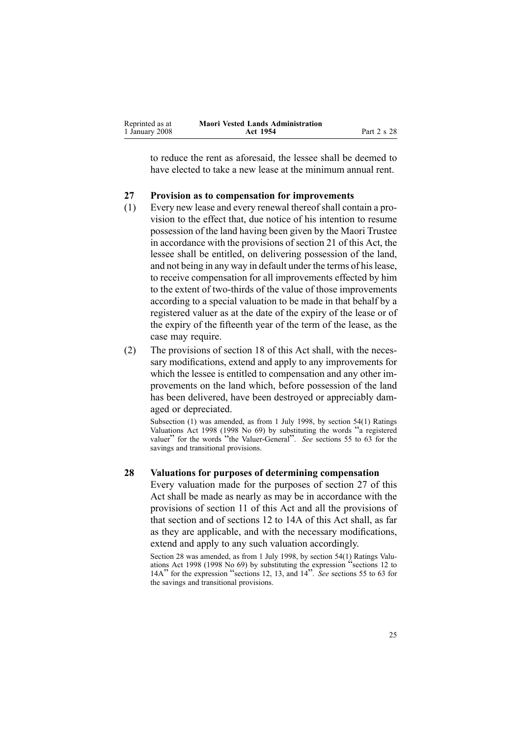<span id="page-24-0"></span>

| Reprinted as at | <b>Maori Vested Lands Administration</b> |             |
|-----------------|------------------------------------------|-------------|
| 1 January 2008  | Act 1954                                 | Part 2 s 28 |

to reduce the rent as aforesaid, the lessee shall be deemed to have elected to take <sup>a</sup> new lease at the minimum annual rent.

#### **27 Provision as to compensation for improvements**

- (1) Every new lease and every renewal thereofshall contain <sup>a</sup> provision to the effect that, due notice of his intention to resume possession of the land having been given by the Maori Trustee in accordance with the provisions of section [21](#page-20-0) of this Act, the lessee shall be entitled, on delivering possession of the land, and not being in any way in default under the terms of hislease, to receive compensation for all improvements effected by him to the extent of two-thirds of the value of those improvements according to <sup>a</sup> special valuation to be made in that behalf by <sup>a</sup> registered valuer as at the date of the expiry of the lease or of the expiry of the fifteenth year of the term of the lease, as the case may require.
- (2) The provisions of section [18](#page-19-0) of this Act shall, with the necessary modifications, extend and apply to any improvements for which the lessee is entitled to compensation and any other improvements on the land which, before possession of the land has been delivered, have been destroyed or appreciably damaged or depreciated.

Subsection (1) was amended, as from 1 July 1998, by section [54\(1\)](http://www.legislation.govt.nz/pdfLink.aspx?id=DLM427717) Ratings Valuations Act <sup>1998</sup> (1998 No 69) by substituting the words "<sup>a</sup> registered valuer" for the words "the Valuer-General". *See* sections 55 to [63](http://www.legislation.govt.nz/pdfLink.aspx?id=DLM427719) for the savings and transitional provisions.

#### **28 Valuations for purposes of determining compensation**

Every valuation made for the purposes of section 27 of this Act shall be made as nearly as may be in accordance with the provisions of section [11](#page-13-0) of this Act and all the provisions of that section and of sections 12 to [14A](#page-14-0) of this Act shall, as far as they are applicable, and with the necessary modifications, extend and apply to any such valuation accordingly.

Section 28 was amended, as from 1 July 1998, by section [54\(1\)](http://www.legislation.govt.nz/pdfLink.aspx?id=DLM427717) Ratings Valuations Act <sup>1998</sup> (1998 No 69) by substituting the expression "sections <sup>12</sup> to 14A" for the expression "sections 12, 13, and <sup>14</sup>". *See* sections <sup>55</sup> to [63](http://www.legislation.govt.nz/pdfLink.aspx?id=DLM427719) for the savings and transitional provisions.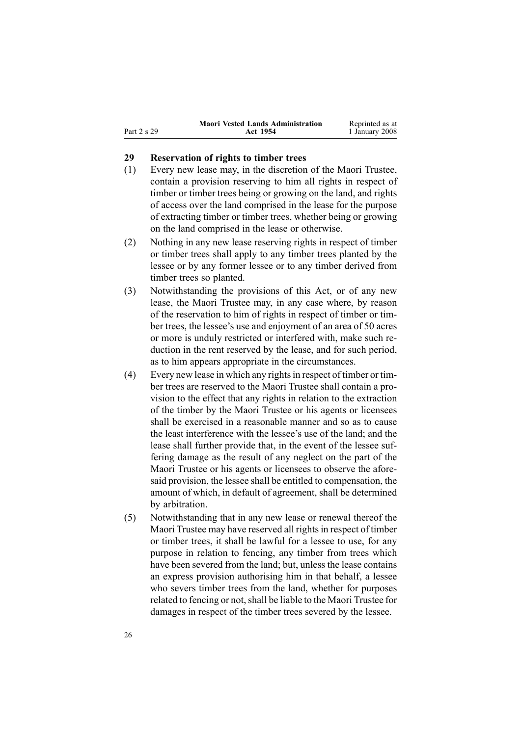<span id="page-25-0"></span>

|             | <b>Maori Vested Lands Administration</b> | Reprinted as at |
|-------------|------------------------------------------|-----------------|
| Part 2 s 29 | Act 1954                                 | 1 January 2008  |

### **29 Reservation of rights to timber trees**

- (1) Every new lease may, in the discretion of the Maori Trustee, contain <sup>a</sup> provision reserving to him all rights in respec<sup>t</sup> of timber or timber trees being or growing on the land, and rights of access over the land comprised in the lease for the purpose of extracting timber or timber trees, whether being or growing on the land comprised in the lease or otherwise.
- (2) Nothing in any new lease reserving rights in respec<sup>t</sup> of timber or timber trees shall apply to any timber trees planted by the lessee or by any former lessee or to any timber derived from timber trees so planted.
- (3) Notwithstanding the provisions of this Act, or of any new lease, the Maori Trustee may, in any case where, by reason of the reservation to him of rights in respec<sup>t</sup> of timber or timber trees, the lessee's use and enjoyment of an area of 50 acres or more is unduly restricted or interfered with, make such reduction in the rent reserved by the lease, and for such period, as to him appears appropriate in the circumstances.
- $(4)$  Every new lease in which any rights in respect of timber or timber trees are reserved to the Maori Trustee shall contain <sup>a</sup> provision to the effect that any rights in relation to the extraction of the timber by the Maori Trustee or his agents or licensees shall be exercised in <sup>a</sup> reasonable manner and so as to cause the least interference with the lessee's use of the land; and the lease shall further provide that, in the event of the lessee suffering damage as the result of any neglect on the par<sup>t</sup> of the Maori Trustee or his agents or licensees to observe the aforesaid provision, the lessee shall be entitled to compensation, the amount of which, in default of agreement, shall be determined by arbitration.
- (5) Notwithstanding that in any new lease or renewal thereof the Maori Trustee may have reserved all rights in respect of timber or timber trees, it shall be lawful for <sup>a</sup> lessee to use, for any purpose in relation to fencing, any timber from trees which have been severed from the land; but, unless the lease contains an express provision authorising him in that behalf, <sup>a</sup> lessee who severs timber trees from the land, whether for purposes related to fencing or not, shall be liable to the Maori Trustee for damages in respec<sup>t</sup> of the timber trees severed by the lessee.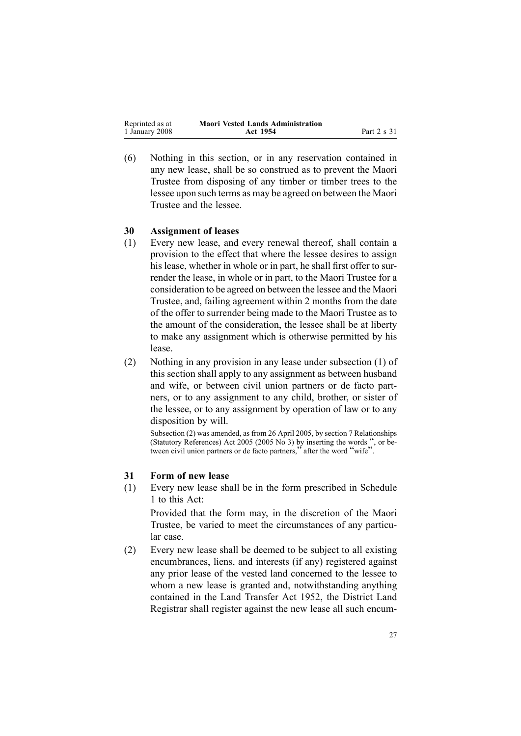<span id="page-26-0"></span>

| Reprinted as at | <b>Maori Vested Lands Administration</b> |             |
|-----------------|------------------------------------------|-------------|
| 1 January 2008  | Act 1954                                 | Part 2 s 31 |

(6) Nothing in this section, or in any reservation contained in any new lease, shall be so construed as to preven<sup>t</sup> the Maori Trustee from disposing of any timber or timber trees to the lessee upon such terms as may be agreed on between the Maori Trustee and the lessee.

#### **30 Assignment of leases**

- (1) Every new lease, and every renewal thereof, shall contain <sup>a</sup> provision to the effect that where the lessee desires to assign his lease, whether in whole or in part, he shall first offer to surrender the lease, in whole or in part, to the Maori Trustee for <sup>a</sup> consideration to be agreed on between the lessee and the Maori Trustee, and, failing agreemen<sup>t</sup> within 2 months from the date of the offer to surrender being made to the Maori Trustee as to the amount of the consideration, the lessee shall be at liberty to make any assignment which is otherwise permitted by his lease.
- (2) Nothing in any provision in any lease under subsection (1) of this section shall apply to any assignment as between husband and wife, or between civil union partners or de facto partners, or to any assignment to any child, brother, or sister of the lessee, or to any assignment by operation of law or to any disposition by will.

Subsection (2) was amended, as from 26 April 2005, by section [7](http://www.legislation.govt.nz/pdfLink.aspx?id=DLM333795) Relationships (Statutory References) Act 2005 (2005  $\overrightarrow{No}$  3) by inserting the words ", or between civil union partners or de facto partners," after the word "wife".

### **31 Form of new lease**

(1) Every new lease shall be in the form prescribed in Schedule [1](#page-47-0) to this Act:

Provided that the form may, in the discretion of the Maori Trustee, be varied to meet the circumstances of any particular case.

(2) Every new lease shall be deemed to be subject to all existing encumbrances, liens, and interests (if any) registered against any prior lease of the vested land concerned to the lessee to whom <sup>a</sup> new lease is granted and, notwithstanding anything contained in the Land [Transfer](http://www.legislation.govt.nz/pdfLink.aspx?id=DLM269031) Act 1952, the District Land Registrar shall register against the new lease all such encum-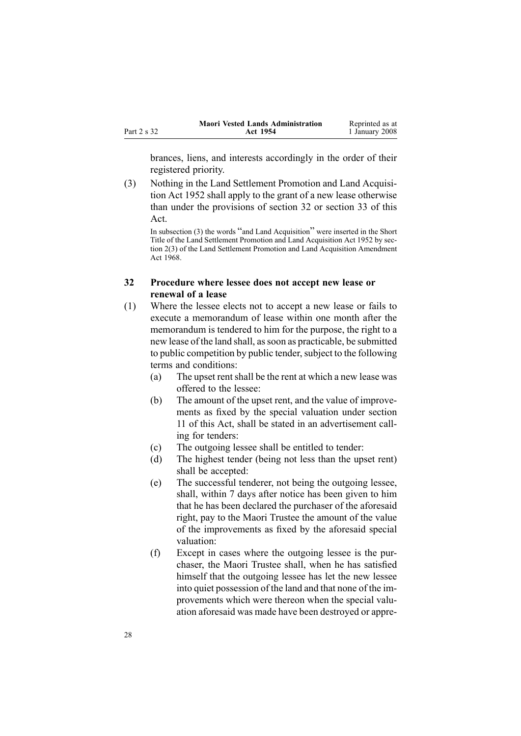<span id="page-27-0"></span>

|             | <b>Maori Vested Lands Administration</b> | Reprinted as at |
|-------------|------------------------------------------|-----------------|
| Part 2 s 32 | Act 1954                                 | 1 January 2008  |

brances, liens, and interests accordingly in the order of their registered priority.

(3) Nothing in the Land Settlement Promotion and Land Acquisition Act 1952 shall apply to the gran<sup>t</sup> of <sup>a</sup> new lease otherwise than under the provisions of section 32 or section [33](#page-29-0) of this Act.

In subsection (3) the words "and Land Acquisition" were inserted in the Short Title of the Land Settlement Promotion and Land Acquisition Act 1952 by section 2(3) of the Land Settlement Promotion and Land Acquisition Amendment Act 1968.

### **32 Procedure where lessee does not accept new lease or renewal of <sup>a</sup> lease**

- (1) Where the lessee elects not to accep<sup>t</sup> <sup>a</sup> new lease or fails to execute <sup>a</sup> memorandum of lease within one month after the memorandum is tendered to him for the purpose, the right to <sup>a</sup> new lease of the land shall, assoon as practicable, be submitted to public competition by public tender, subject to the following terms and conditions:
	- (a) The upse<sup>t</sup> rentshall be the rent at which <sup>a</sup> new lease was offered to the lessee:
	- (b) The amount of the upse<sup>t</sup> rent, and the value of improvements as fixed by the special valuation under section [11](#page-13-0) of this Act, shall be stated in an advertisement calling for tenders:
	- (c) The outgoing lessee shall be entitled to tender:
	- (d) The highest tender (being not less than the upse<sup>t</sup> rent) shall be accepted:
	- (e) The successful tenderer, not being the outgoing lessee, shall, within 7 days after notice has been given to him that he has been declared the purchaser of the aforesaid right, pay to the Maori Trustee the amount of the value of the improvements as fixed by the aforesaid special valuation:
	- (f) Except in cases where the outgoing lessee is the purchaser, the Maori Trustee shall, when he has satisfied himself that the outgoing lessee has let the new lessee into quiet possession of the land and that none of the improvements which were thereon when the special valuation aforesaid was made have been destroyed or appre-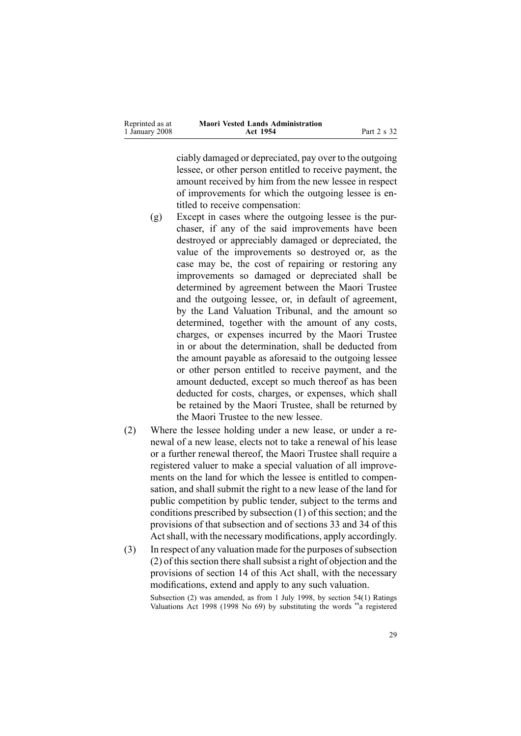| Reprinted as at | <b>Maori Vested Lands Administration</b> |             |
|-----------------|------------------------------------------|-------------|
| 1 January 2008  | Act 1954                                 | Part 2 s 32 |

ciably damaged or depreciated, pay over to the outgoing lessee, or other person entitled to receive payment, the amount received by him from the new lessee in respec<sup>t</sup> of improvements for which the outgoing lessee is entitled to receive compensation:

- (g) Except in cases where the outgoing lessee is the purchaser, if any of the said improvements have been destroyed or appreciably damaged or depreciated, the value of the improvements so destroyed or, as the case may be, the cost of repairing or restoring any improvements so damaged or depreciated shall be determined by agreemen<sup>t</sup> between the Maori Trustee and the outgoing lessee, or, in default of agreement, by the Land Valuation Tribunal, and the amount so determined, together with the amount of any costs, charges, or expenses incurred by the Maori Trustee in or about the determination, shall be deducted from the amount payable as aforesaid to the outgoing lessee or other person entitled to receive payment, and the amount deducted, excep<sup>t</sup> so much thereof as has been deducted for costs, charges, or expenses, which shall be retained by the Maori Trustee, shall be returned by the Maori Trustee to the new lessee.
- (2) Where the lessee holding under <sup>a</sup> new lease, or under <sup>a</sup> renewal of <sup>a</sup> new lease, elects not to take <sup>a</sup> renewal of his lease or <sup>a</sup> further renewal thereof, the Maori Trustee shall require <sup>a</sup> registered valuer to make <sup>a</sup> special valuation of all improvements on the land for which the lessee is entitled to compensation, and shall submit the right to <sup>a</sup> new lease of the land for public competition by public tender, subject to the terms and conditions prescribed by subsection [\(1\)](#page-27-0) of this section; and the provisions of that subsection and of sections [33](#page-29-0) and [34](#page-29-0) of this Act shall, with the necessary modifications, apply accordingly.
- $(3)$  In respect of any valuation made for the purposes of subsection  $(2)$  of this section there shall subsist a right of objection and the provisions of section [14](#page-15-0) of this Act shall, with the necessary modifications, extend and apply to any such valuation.

Subsection (2) was amended, as from 1 July 1998, by section [54\(1\)](http://www.legislation.govt.nz/pdfLink.aspx?id=DLM427717) Ratings Valuations Act <sup>1998</sup> (1998 No 69) by substituting the words "<sup>a</sup> registered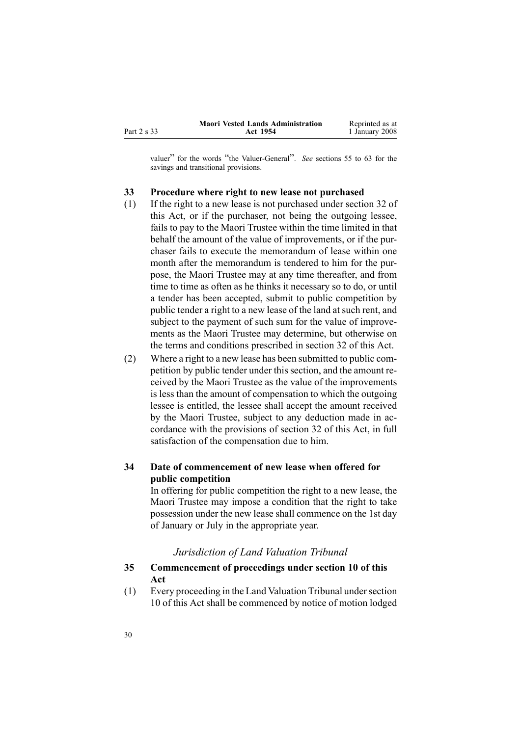<span id="page-29-0"></span>

|             | <b>Maori Vested Lands Administration</b> | Reprinted as at |
|-------------|------------------------------------------|-----------------|
| Part 2 s 33 | Act 1954                                 | 1 January 2008  |

valuer" for the words "the Valuer-General". *See* sections 55 to [63](http://www.legislation.govt.nz/pdfLink.aspx?id=DLM427719) for the savings and transitional provisions.

#### **33 Procedure where right to new lease not purchased**

- (1) If the right to <sup>a</sup> new lease is not purchased under section [32](#page-27-0) of this Act, or if the purchaser, not being the outgoing lessee, fails to pay to the Maori Trustee within the time limited in that behalf the amount of the value of improvements, or if the purchaser fails to execute the memorandum of lease within one month after the memorandum is tendered to him for the purpose, the Maori Trustee may at any time thereafter, and from time to time as often as he thinks it necessary so to do, or until <sup>a</sup> tender has been accepted, submit to public competition by public tender <sup>a</sup> right to <sup>a</sup> new lease of the land at such rent, and subject to the paymen<sup>t</sup> of such sum for the value of improvements as the Maori Trustee may determine, but otherwise on the terms and conditions prescribed in section [32](#page-27-0) of this Act.
- (2) Where <sup>a</sup> right to <sup>a</sup> new lease has been submitted to public competition by public tender under this section, and the amount received by the Maori Trustee as the value of the improvements is less than the amount of compensation to which the outgoing lessee is entitled, the lessee shall accep<sup>t</sup> the amount received by the Maori Trustee, subject to any deduction made in accordance with the provisions of section [32](#page-27-0) of this Act, in full satisfaction of the compensation due to him.

### **34 Date of commencement of new lease when offered for public competition**

In offering for public competition the right to <sup>a</sup> new lease, the Maori Trustee may impose <sup>a</sup> condition that the right to take possession under the new lease shall commence on the 1st day of January or July in the appropriate year.

#### *Jurisdiction of Land Valuation Tribunal*

### **35 Commencement of proceedings under section 10 of this Act**

(1) Every proceeding in the Land Valuation Tribunal undersection [10](#page-13-0) of this Act shall be commenced by notice of motion lodged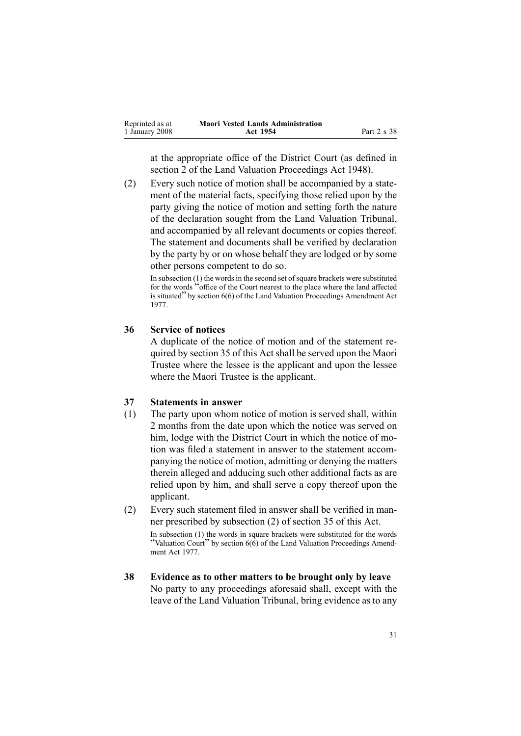<span id="page-30-0"></span>

| Reprinted as at | <b>Maori Vested Lands Administration</b> |             |
|-----------------|------------------------------------------|-------------|
| 1 January 2008  | Act 1954                                 | Part 2 s 38 |

at the appropriate office of the District Court (as defined in section [2](http://www.legislation.govt.nz/pdfLink.aspx?id=DLM249219) of the Land Valuation [Proceedings](http://www.legislation.govt.nz/pdfLink.aspx?id=DLM249212) Act 1948).

(2) Every such notice of motion shall be accompanied by <sup>a</sup> statement of the material facts, specifying those relied upon by the party giving the notice of motion and setting forth the nature of the declaration sought from the Land Valuation Tribunal, and accompanied by all relevant documents or copies thereof. The statement and documents shall be verified by declaration by the party by or on whose behalf they are lodged or by some other persons competent to do so.

In subsection (1) the words in the second set of square brackets were substituted for the words "office of the Court nearest to the <sup>p</sup>lace where the land affected is situated" by section [6\(6\)](http://www.legislation.govt.nz/pdfLink.aspx?id=DLM442575) of the Land Valuation Proceedings Amendment Act 1977.

#### **36 Service of notices**

A duplicate of the notice of motion and of the statement required by section [35](#page-29-0) of this Act shall be served upon the Maori Trustee where the lessee is the applicant and upon the lessee where the Maori Trustee is the applicant.

### **37 Statements in answer**

- (1) The party upon whom notice of motion is served shall, within 2 months from the date upon which the notice was served on him, lodge with the District Court in which the notice of motion was filed <sup>a</sup> statement in answer to the statement accompanying the notice of motion, admitting or denying the matters therein alleged and adducing such other additional facts as are relied upon by him, and shall serve <sup>a</sup> copy thereof upon the applicant.
- (2) Every such statement filed in answer shall be verified in manner prescribed by subsection [\(2\)](#page-29-0) of section 35 of this Act.

In subsection (1) the words in square brackets were substituted for the words "Valuation Court" by section  $6(6)$  of the Land Valuation Proceedings Amendment Act 1977.

**38 Evidence as to other matters to be brought only by leave** No party to any proceedings aforesaid shall, excep<sup>t</sup> with the leave of the Land Valuation Tribunal, bring evidence as to any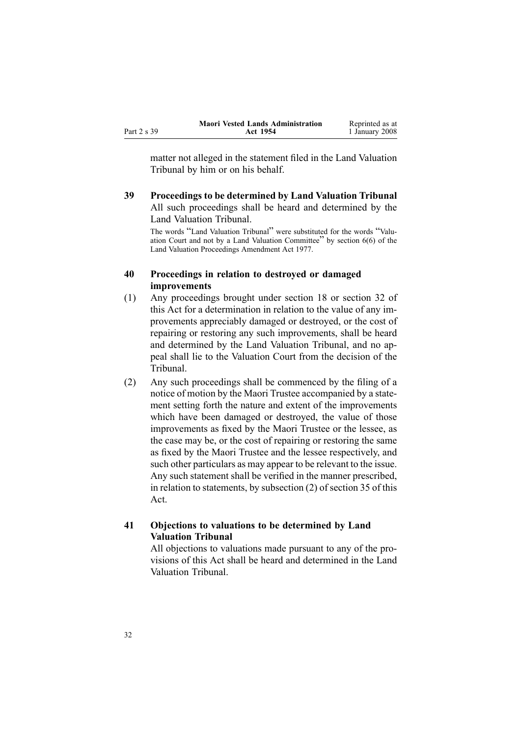<span id="page-31-0"></span>

|             | <b>Maori Vested Lands Administration</b> | Reprinted as at |
|-------------|------------------------------------------|-----------------|
| Part 2 s 39 | <b>Act 1954</b>                          | 1 January 2008  |

matter not alleged in the statement filed in the Land Valuation Tribunal by him or on his behalf.

**39 Proceedings to be determined by Land Valuation Tribunal** All such proceedings shall be heard and determined by the Land Valuation Tribunal.

The words "Land Valuation Tribunal" were substituted for the words "Valuation Court and not by <sup>a</sup> Land Valuation Committee" by section [6\(6\)](http://www.legislation.govt.nz/pdfLink.aspx?id=DLM442575) of the Land Valuation Proceedings Amendment Act 1977.

### **40 Proceedings in relation to destroyed or damaged improvements**

- (1) Any proceedings brought under section [18](#page-19-0) or section [32](#page-27-0) of this Act for <sup>a</sup> determination in relation to the value of any improvements appreciably damaged or destroyed, or the cost of repairing or restoring any such improvements, shall be heard and determined by the Land Valuation Tribunal, and no appeal shall lie to the Valuation Court from the decision of the Tribunal.
- (2) Any such proceedings shall be commenced by the filing of <sup>a</sup> notice of motion by the Maori Trustee accompanied by <sup>a</sup> statement setting forth the nature and extent of the improvements which have been damaged or destroyed, the value of those improvements as fixed by the Maori Trustee or the lessee, as the case may be, or the cost of repairing or restoring the same as fixed by the Maori Trustee and the lessee respectively, and such other particulars as may appear to be relevant to the issue. Any such statement shall be verified in the manner prescribed, in relation to statements, by subsection [\(2\)](#page-29-0) of section 35 of this Act.

### **41 Objections to valuations to be determined by Land Valuation Tribunal**

All objections to valuations made pursuan<sup>t</sup> to any of the provisions of this Act shall be heard and determined in the Land Valuation Tribunal.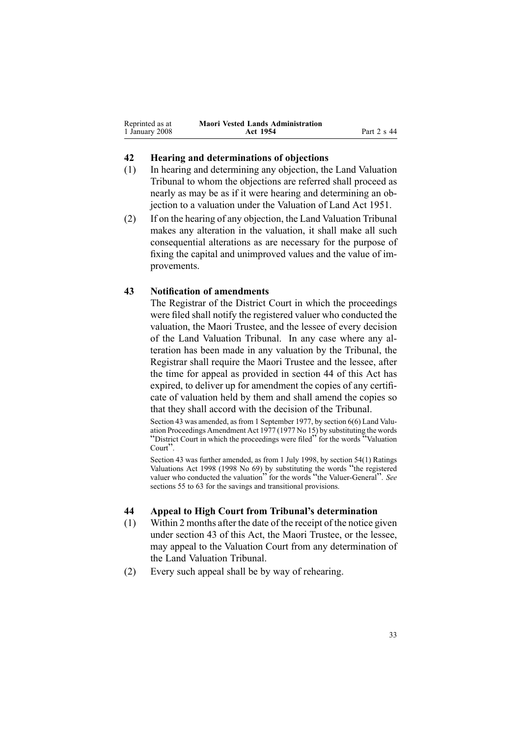<span id="page-32-0"></span>

| Reprinted as at | <b>Maori Vested Lands Administration</b> |             |
|-----------------|------------------------------------------|-------------|
| 1 January 2008  | Act 1954                                 | Part 2 s 44 |

#### **42 Hearing and determinations of objections**

- (1) In hearing and determining any objection, the Land Valuation Tribunal to whom the objections are referred shall proceed as nearly as may be as if it were hearing and determining an objection to <sup>a</sup> valuation under the Valuation of Land Act 1951.
- (2) If on the hearing of any objection, the Land Valuation Tribunal makes any alteration in the valuation, it shall make all such consequential alterations as are necessary for the purpose of fixing the capital and unimproved values and the value of improvements.

### **43 Notification of amendments**

The Registrar of the District Court in which the proceedings were filed shall notify the registered valuer who conducted the valuation, the Maori Trustee, and the lessee of every decision of the Land Valuation Tribunal. In any case where any alteration has been made in any valuation by the Tribunal, the Registrar shall require the Maori Trustee and the lessee, after the time for appeal as provided in section 44 of this Act has expired, to deliver up for amendment the copies of any certificate of valuation held by them and shall amend the copies so that they shall accord with the decision of the Tribunal.

Section 43 was amended, as from 1 September 1977, by section [6\(6\)](http://www.legislation.govt.nz/pdfLink.aspx?id=DLM442575) Land Valuation Proceedings Amendment Act 1977 (1977 No 15) by substituting the words "District Court in which the proceedings were filed" for the words "Valuation Court"

Section 43 was further amended, as from 1 July 1998, by section [54\(1\)](http://www.legislation.govt.nz/pdfLink.aspx?id=DLM427717) Ratings Valuations Act <sup>1998</sup> (1998 No 69) by substituting the words "the registered valuer who conducted the valuation" for the words "the Valuer-General". *See* sections 55 to [63](http://www.legislation.govt.nz/pdfLink.aspx?id=DLM427719) for the savings and transitional provisions.

#### **44 Appeal to High Court from Tribunal's determination**

- (1) Within 2 months after the date of the receipt of the notice given under section 43 of this Act, the Maori Trustee, or the lessee, may appeal to the Valuation Court from any determination of the Land Valuation Tribunal.
- (2) Every such appeal shall be by way of rehearing.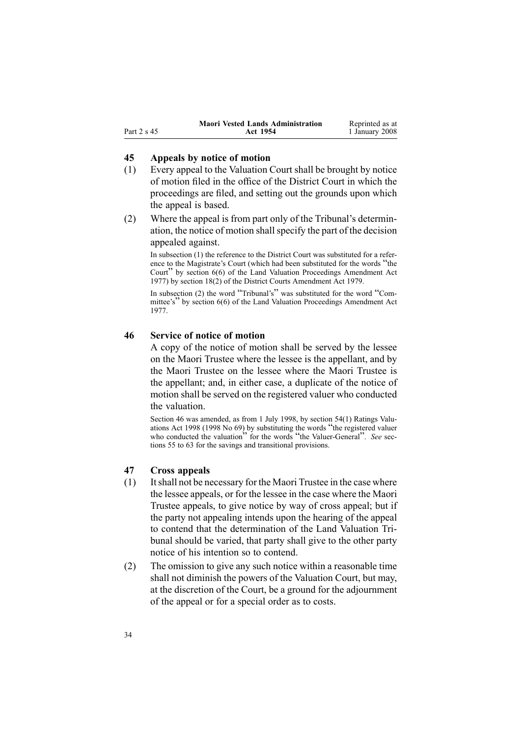<span id="page-33-0"></span>

|             | <b>Maori Vested Lands Administration</b> | Reprinted as at |
|-------------|------------------------------------------|-----------------|
| Part 2 s 45 | <b>Act 1954</b>                          | 1 January 2008  |

#### **45 Appeals by notice of motion**

- (1) Every appeal to the Valuation Court shall be brought by notice of motion filed in the office of the District Court in which the proceedings are filed, and setting out the grounds upon which the appeal is based.
- (2) Where the appeal is from par<sup>t</sup> only of the Tribunal's determination, the notice of motion shallspecify the par<sup>t</sup> of the decision appealed against.

In subsection (1) the reference to the District Court was substituted for <sup>a</sup> reference to the Magistrate's Court (which had been substituted for the words "the Court" by section [6\(6\)](http://www.legislation.govt.nz/pdfLink.aspx?id=DLM442575) of the Land Valuation Proceedings Amendment Act 1977) by section [18\(2\)](http://www.legislation.govt.nz/pdfLink.aspx?id=DLM35085) of the District Courts Amendment Act 1979.

In subsection (2) the word "Tribunal's" was substituted for the word "Com-mittee's" by section [6\(6\)](http://www.legislation.govt.nz/pdfLink.aspx?id=DLM442575) of the Land Valuation Proceedings Amendment Act 1977.

### **46 Service of notice of motion**

A copy of the notice of motion shall be served by the lessee on the Maori Trustee where the lessee is the appellant, and by the Maori Trustee on the lessee where the Maori Trustee is the appellant; and, in either case, <sup>a</sup> duplicate of the notice of motion shall be served on the registered valuer who conducted the valuation.

Section 46 was amended, as from 1 July 1998, by section [54\(1\)](http://www.legislation.govt.nz/pdfLink.aspx?id=DLM427717) Ratings Valuations Act <sup>1998</sup> (1998 No 69) by substituting the words "the registered valuer who conducted the valuation<sup>"</sup> for the words "the Valuer-General". *See* sections 55 to [63](http://www.legislation.govt.nz/pdfLink.aspx?id=DLM427719) for the savings and transitional provisions.

#### **47 Cross appeals**

- (1) Itshall not be necessary for the Maori Trustee in the case where the lessee appeals, or for the lessee in the case where the Maori Trustee appeals, to give notice by way of cross appeal; but if the party not appealing intends upon the hearing of the appeal to contend that the determination of the Land Valuation Tribunal should be varied, that party shall give to the other party notice of his intention so to contend.
- (2) The omission to give any such notice within <sup>a</sup> reasonable time shall not diminish the powers of the Valuation Court, but may, at the discretion of the Court, be <sup>a</sup> ground for the adjournment of the appeal or for <sup>a</sup> special order as to costs.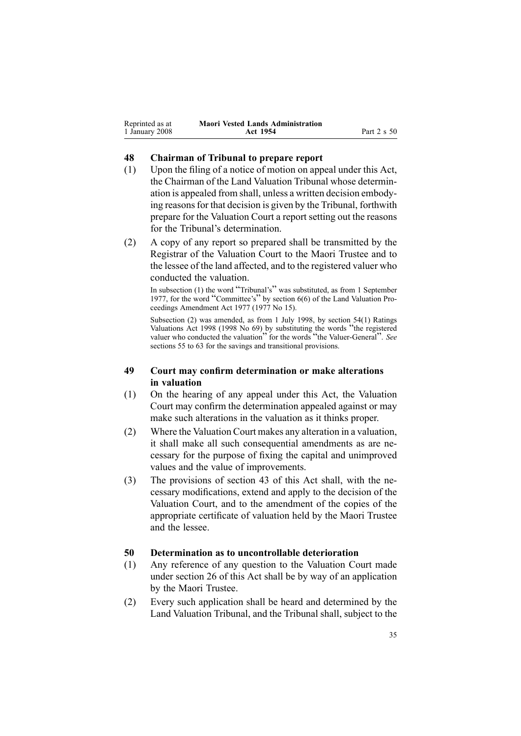<span id="page-34-0"></span>

| Reprinted as at | <b>Maori Vested Lands Administration</b> |             |
|-----------------|------------------------------------------|-------------|
| 1 January 2008  | Act 1954                                 | Part 2 s 50 |

#### **48 Chairman of Tribunal to prepare report**

- (1) Upon the filing of <sup>a</sup> notice of motion on appeal under this Act, the Chairman of the Land Valuation Tribunal whose determination is appealed from shall, unless <sup>a</sup> written decision embodying reasons for that decision is given by the Tribunal, forthwith prepare for the Valuation Court <sup>a</sup> repor<sup>t</sup> setting out the reasons for the Tribunal's determination.
- (2) A copy of any repor<sup>t</sup> so prepared shall be transmitted by the Registrar of the Valuation Court to the Maori Trustee and to the lessee of the land affected, and to the registered valuer who conducted the valuation.

In subsection (1) the word "Tribunal's" was substituted, as from <sup>1</sup> September 1977, for the word "Committee's" by section [6\(6\)](http://www.legislation.govt.nz/pdfLink.aspx?id=DLM442575) of the Land Valuation Proceedings Amendment Act 1977 (1977 No 15).

Subsection (2) was amended, as from 1 July 1998, by section [54\(1\)](http://www.legislation.govt.nz/pdfLink.aspx?id=DLM427717) Ratings Valuations Act <sup>1998</sup> (1998 No 69) by substituting the words "the registered valuer who conducted the valuation<sup>"</sup> for the words "the Valuer-General". *See* sections [55](http://www.legislation.govt.nz/pdfLink.aspx?id=DLM427719) to 63 for the savings and transitional provisions.

#### **49 Court may confirm determination or make alterations in valuation**

- (1) On the hearing of any appeal under this Act, the Valuation Court may confirm the determination appealed against or may make such alterations in the valuation as it thinks proper.
- (2) Where the Valuation Court makes any alteration in <sup>a</sup> valuation, it shall make all such consequential amendments as are necessary for the purpose of fixing the capital and unimproved values and the value of improvements.
- (3) The provisions of section [43](#page-32-0) of this Act shall, with the necessary modifications, extend and apply to the decision of the Valuation Court, and to the amendment of the copies of the appropriate certificate of valuation held by the Maori Trustee and the lessee.

### **50 Determination as to uncontrollable deterioration**

- (1) Any reference of any question to the Valuation Court made under section [26](#page-23-0) of this Act shall be by way of an application by the Maori Trustee.
- (2) Every such application shall be heard and determined by the Land Valuation Tribunal, and the Tribunal shall, subject to the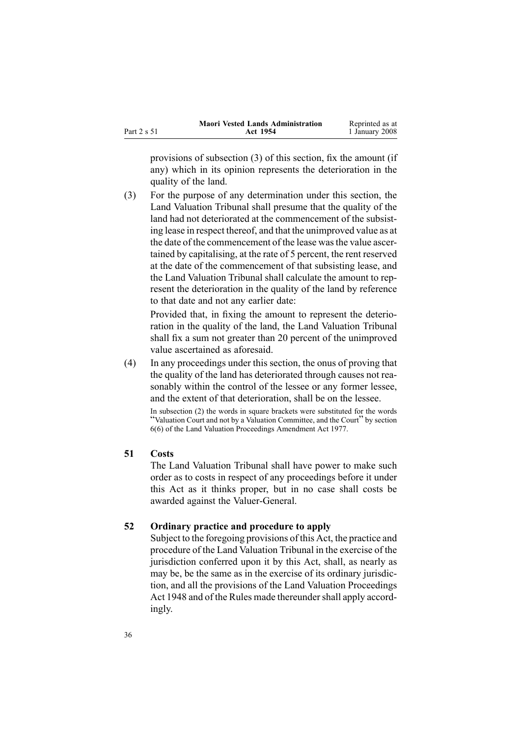<span id="page-35-0"></span>

|             | <b>Maori Vested Lands Administration</b> | Reprinted as at |
|-------------|------------------------------------------|-----------------|
| Part 2 s 51 | Act 1954                                 | 1 January 2008  |

provisions of subsection [\(3\)](#page-34-0) of this section, fix the amount (if any) which in its opinion represents the deterioration in the quality of the land.

(3) For the purpose of any determination under this section, the Land Valuation Tribunal shall presume that the quality of the land had not deteriorated at the commencement of the subsisting lease in respec<sup>t</sup> thereof, and that the unimproved value as at the date of the commencement of the lease wasthe value ascertained by capitalising, at the rate of 5 percent, the rent reserved at the date of the commencement of that subsisting lease, and the Land Valuation Tribunal shall calculate the amount to represent the deterioration in the quality of the land by reference to that date and not any earlier date:

Provided that, in fixing the amount to represen<sup>t</sup> the deterioration in the quality of the land, the Land Valuation Tribunal shall fix <sup>a</sup> sum not greater than 20 percen<sup>t</sup> of the unimproved value ascertained as aforesaid.

(4) In any proceedings under this section, the onus of proving that the quality of the land has deteriorated through causes not reasonably within the control of the lessee or any former lessee, and the extent of that deterioration, shall be on the lessee.

In subsection (2) the words in square brackets were substituted for the words "Valuation Court and not by <sup>a</sup> Valuation Committee, and the Court" by section [6\(6\)](http://www.legislation.govt.nz/pdfLink.aspx?id=DLM442575) of the Land Valuation Proceedings Amendment Act 1977.

### **51 Costs**

The Land Valuation Tribunal shall have power to make such order as to costs in respec<sup>t</sup> of any proceedings before it under this Act as it thinks proper, but in no case shall costs be awarded against the Valuer-General.

### **52 Ordinary practice and procedure to apply**

Subject to the foregoing provisions of this Act, the practice and procedure of the Land Valuation Tribunal in the exercise of the jurisdiction conferred upon it by this Act, shall, as nearly as may be, be the same as in the exercise of its ordinary jurisdiction, and all the provisions of the Land Valuation [Proceedings](http://www.legislation.govt.nz/pdfLink.aspx?id=DLM249212) Act [1948](http://www.legislation.govt.nz/pdfLink.aspx?id=DLM249212) and of the Rules made thereunder shall apply accordingly.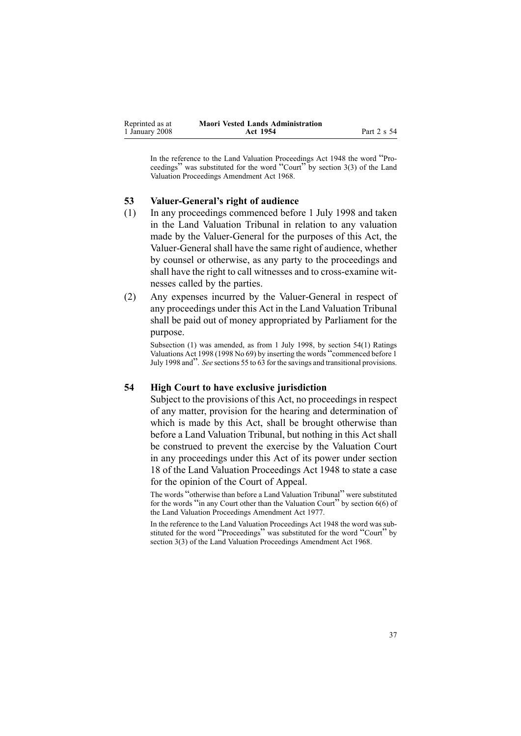<span id="page-36-0"></span>

| Reprinted as at | <b>Maori Vested Lands Administration</b> |             |
|-----------------|------------------------------------------|-------------|
| 1 January 2008  | Act 1954                                 | Part 2 s 54 |

In the reference to the Land Valuation Proceedings Act <sup>1948</sup> the word "Proceedings" was substituted for the word "Court" by section [3\(3\)](http://www.legislation.govt.nz/pdfLink.aspx?id=DLM388233) of the Land Valuation Proceedings Amendment Act 1968.

#### **53 ValuerGeneral's right of audience**

- (1) In any proceedings commenced before 1 July 1998 and taken in the Land Valuation Tribunal in relation to any valuation made by the Valuer-General for the purposes of this Act, the Valuer-General shall have the same right of audience, whether by counsel or otherwise, as any party to the proceedings and shall have the right to call witnesses and to cross-examine witnesses called by the parties.
- (2) Any expenses incurred by the Valuer-General in respect of any proceedings under this Act in the Land Valuation Tribunal shall be paid out of money appropriated by Parliament for the purpose.

Subsection (1) was amended, as from 1 July 1998, by section [54\(1\)](http://www.legislation.govt.nz/pdfLink.aspx?id=DLM427717) Ratings Valuations Act <sup>1998</sup> (1998 No 69) by inserting the words "commenced before <sup>1</sup> July <sup>1998</sup> and". *See* sections [55](http://www.legislation.govt.nz/pdfLink.aspx?id=DLM427719) to <sup>63</sup> for the savings and transitional provisions.

#### **54 High Court to have exclusive jurisdiction**

Subject to the provisions of this Act, no proceedings in respec<sup>t</sup> of any matter, provision for the hearing and determination of which is made by this Act, shall be brought otherwise than before <sup>a</sup> Land Valuation Tribunal, but nothing in this Act shall be construed to preven<sup>t</sup> the exercise by the Valuation Court in any proceedings under this Act of its power under section [18](http://www.legislation.govt.nz/pdfLink.aspx?id=DLM249280) of the Land Valuation [Proceedings](http://www.legislation.govt.nz/pdfLink.aspx?id=DLM249212) Act 1948 to state <sup>a</sup> case for the opinion of the Court of Appeal.

The words "otherwise than before <sup>a</sup> Land Valuation Tribunal" were substituted for the words "in any Court other than the Valuation Court" by section [6\(6\)](http://www.legislation.govt.nz/pdfLink.aspx?id=DLM442575) of the Land Valuation Proceedings Amendment Act 1977.

In the reference to the Land Valuation Proceedings Act 1948 the word was substituted for the word "Proceedings" was substituted for the word "Court" by section [3\(3\)](http://www.legislation.govt.nz/pdfLink.aspx?id=DLM388233) of the Land Valuation Proceedings Amendment Act 1968.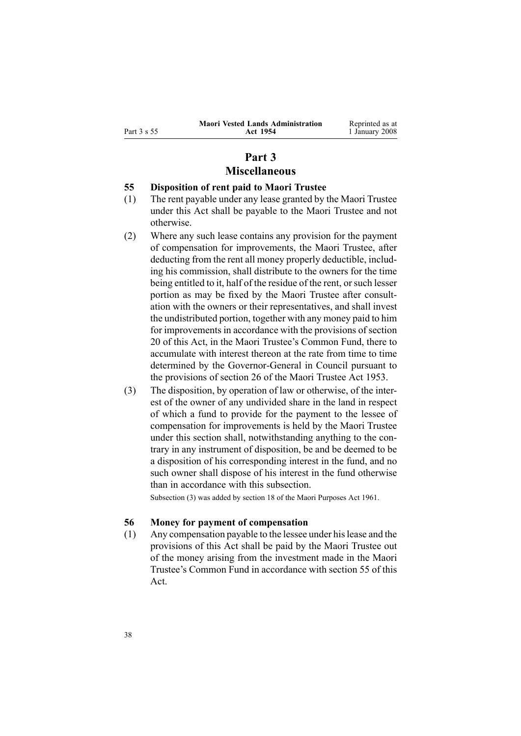<span id="page-37-0"></span>

| п.<br>Part |  |  |
|------------|--|--|
|------------|--|--|

Reprinted as at 1 January 2008

## **Part 3 Miscellaneous**

#### **55 Disposition of rent paid to Maori Trustee**

- (1) The rent payable under any lease granted by the Maori Trustee under this Act shall be payable to the Maori Trustee and not otherwise.
- (2) Where any such lease contains any provision for the paymen<sup>t</sup> of compensation for improvements, the Maori Trustee, after deducting from the rent all money properly deductible, including his commission, shall distribute to the owners for the time being entitled to it, half of the residue of the rent, or such lesser portion as may be fixed by the Maori Trustee after consultation with the owners or their representatives, and shall invest the undistributed portion, together with any money paid to him for improvements in accordance with the provisions of section [20](#page-20-0) of this Act, in the Maori Trustee's Common Fund, there to accumulate with interest thereon at the rate from time to time determined by the Governor-General in Council pursuant to the provisions of section [26](http://www.legislation.govt.nz/pdfLink.aspx?id=DLM282745) of the Maori [Trustee](http://www.legislation.govt.nz/pdfLink.aspx?id=DLM282037) Act 1953.
- (3) The disposition, by operation of law or otherwise, of the interest of the owner of any undivided share in the land in respec<sup>t</sup> of which <sup>a</sup> fund to provide for the paymen<sup>t</sup> to the lessee of compensation for improvements is held by the Maori Trustee under this section shall, notwithstanding anything to the contrary in any instrument of disposition, be and be deemed to be <sup>a</sup> disposition of his corresponding interest in the fund, and no such owner shall dispose of his interest in the fund otherwise than in accordance with this subsection.

Subsection (3) was added by section [18](http://www.legislation.govt.nz/pdfLink.aspx?id=DLM338481) of the Maori Purposes Act 1961.

### **56 Money for payment of compensation**

(1) Any compensation payable to the lessee under hislease and the provisions of this Act shall be paid by the Maori Trustee out of the money arising from the investment made in the Maori Trustee's Common Fund in accordance with section 55 of this Act.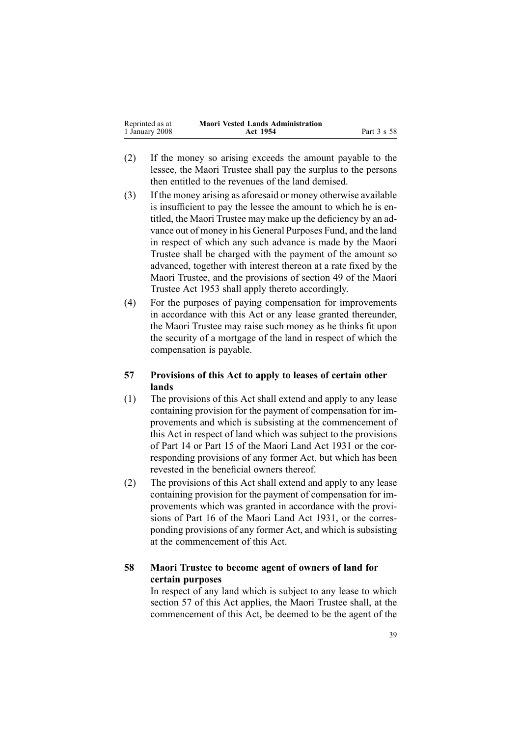<span id="page-38-0"></span>

| Reprinted as at | <b>Maori Vested Lands Administration</b> |             |
|-----------------|------------------------------------------|-------------|
| 1 January 2008  | Act 1954                                 | Part 3 s 58 |

- (2) If the money so arising exceeds the amount payable to the lessee, the Maori Trustee shall pay the surplus to the persons then entitled to the revenues of the land demised.
- (3) If the money arising as aforesaid or money otherwise available is insufficient to pay the lessee the amount to which he is entitled, the Maori Trustee may make up the deficiency by an advance out of money in his General Purposes Fund, and the land in respec<sup>t</sup> of which any such advance is made by the Maori Trustee shall be charged with the paymen<sup>t</sup> of the amount so advanced, together with interest thereon at <sup>a</sup> rate fixed by the Maori Trustee, and the provisions of section [49](http://www.legislation.govt.nz/pdfLink.aspx?id=DLM282955) of the [Maori](http://www.legislation.govt.nz/pdfLink.aspx?id=DLM282037) [Trustee](http://www.legislation.govt.nz/pdfLink.aspx?id=DLM282037) Act 1953 shall apply thereto accordingly.
- (4) For the purposes of paying compensation for improvements in accordance with this Act or any lease granted thereunder, the Maori Trustee may raise such money as he thinks fit upon the security of <sup>a</sup> mortgage of the land in respec<sup>t</sup> of which the compensation is payable.

### **57 Provisions of this Act to apply to leases of certain other lands**

- (1) The provisions of this Act shall extend and apply to any lease containing provision for the paymen<sup>t</sup> of compensation for improvements and which is subsisting at the commencement of this Act in respec<sup>t</sup> of land which was subject to the provisions of Part 14 or Part 15 of the Maori Land Act 1931 or the corresponding provisions of any former Act, but which has been revested in the beneficial owners thereof.
- (2) The provisions of this Act shall extend and apply to any lease containing provision for the paymen<sup>t</sup> of compensation for improvements which was granted in accordance with the provisions of Part 16 of the Maori Land Act 1931, or the corresponding provisions of any former Act, and which is subsisting at the commencement of this Act.

### **58 Maori Trustee to become agent of owners of land for certain purposes**

In respec<sup>t</sup> of any land which is subject to any lease to which section 57 of this Act applies, the Maori Trustee shall, at the commencement of this Act, be deemed to be the agen<sup>t</sup> of the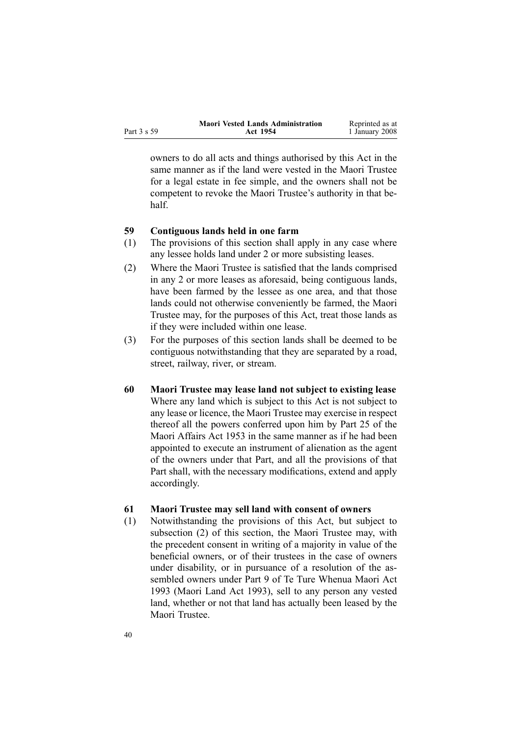<span id="page-39-0"></span>

|             | <b>Maori Vested Lands Administration</b> | Reprinted as at |
|-------------|------------------------------------------|-----------------|
| Part 3 s 59 | Act 1954                                 | 1 January 2008  |

owners to do all acts and things authorised by this Act in the same manner as if the land were vested in the Maori Trustee for <sup>a</sup> legal estate in fee simple, and the owners shall not be competent to revoke the Maori Trustee's authority in that behalf.

#### **59 Contiguous lands held in one farm**

- (1) The provisions of this section shall apply in any case where any lessee holds land under 2 or more subsisting leases.
- (2) Where the Maori Trustee is satisfied that the lands comprised in any 2 or more leases as aforesaid, being contiguous lands, have been farmed by the lessee as one area, and that those lands could not otherwise conveniently be farmed, the Maori Trustee may, for the purposes of this Act, treat those lands as if they were included within one lease.
- (3) For the purposes of this section lands shall be deemed to be contiguous notwithstanding that they are separated by <sup>a</sup> road, street, railway, river, or stream.
- **60 Maori Trustee may lease land not subject to existing lease** Where any land which is subject to this Act is not subject to any lease or licence, the Maori Trustee may exercise in respec<sup>t</sup> thereof all the powers conferred upon him by Part 25 of the Maori Affairs Act 1953 in the same manner as if he had been appointed to execute an instrument of alienation as the agen<sup>t</sup> of the owners under that Part, and all the provisions of that Part shall, with the necessary modifications, extend and apply accordingly.

#### **61 Maori Trustee may sell land with consent of owners**

(1) Notwithstanding the provisions of this Act, but subject to subsection (2) of this section, the Maori Trustee may, with the precedent consent in writing of <sup>a</sup> majority in value of the beneficial owners, or of their trustees in the case of owners under disability, or in pursuance of <sup>a</sup> resolution of the assembled owners under Part [9](http://www.legislation.govt.nz/pdfLink.aspx?id=DLM291587) of Te Ture [Whenua](http://www.legislation.govt.nz/pdfLink.aspx?id=DLM289881) Maori Act [1993](http://www.legislation.govt.nz/pdfLink.aspx?id=DLM289881) (Maori Land Act 1993), sell to any person any vested land, whether or not that land has actually been leased by the Maori Trustee.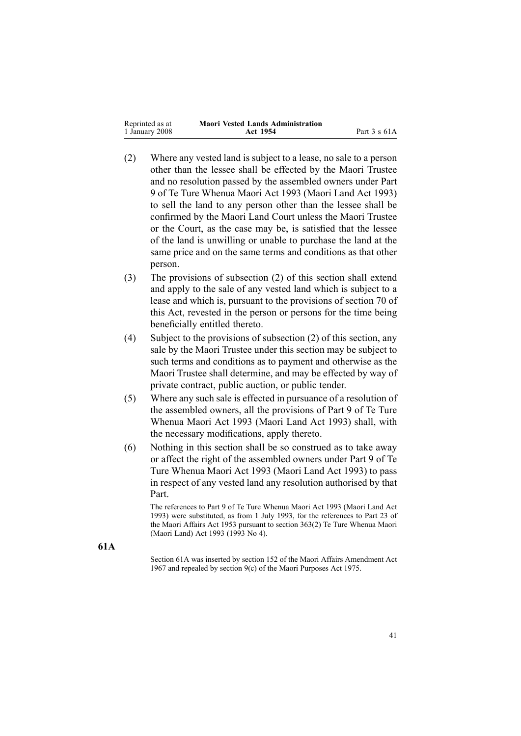| Reprinted as at | <b>Maori Vested Lands Administration</b> |                      |
|-----------------|------------------------------------------|----------------------|
| 1 January 2008  | Act 1954                                 | Part $3 \times 61$ A |

- (2) Where any vested land is subject to <sup>a</sup> lease, no sale to <sup>a</sup> person other than the lessee shall be effected by the Maori Trustee and no resolution passed by the assembled owners under Part [9](http://www.legislation.govt.nz/pdfLink.aspx?id=DLM291587) of Te Ture [Whenua](http://www.legislation.govt.nz/pdfLink.aspx?id=DLM289881) Maori Act 1993 (Maori Land Act 1993) to sell the land to any person other than the lessee shall be confirmed by the Maori Land Court unless the Maori Trustee or the Court, as the case may be, is satisfied that the lessee of the land is unwilling or unable to purchase the land at the same price and on the same terms and conditions as that other person.
- (3) The provisions of subsection [\(2\)](#page-39-0) of this section shall extend and apply to the sale of any vested land which is subject to <sup>a</sup> lease and which is, pursuan<sup>t</sup> to the provisions of section [70](#page-44-0) of this Act, revested in the person or persons for the time being beneficially entitled thereto.
- (4) Subject to the provisions of subsection [\(2\)](#page-39-0) of this section, any sale by the Maori Trustee under this section may be subject to such terms and conditions as to paymen<sup>t</sup> and otherwise as the Maori Trustee shall determine, and may be effected by way of private contract, public auction, or public tender.
- (5) Where any such sale is effected in pursuance of <sup>a</sup> resolution of the assembled owners, all the provisions of Part [9](http://www.legislation.govt.nz/pdfLink.aspx?id=DLM291587) of Te [Ture](http://www.legislation.govt.nz/pdfLink.aspx?id=DLM289881) [Whenua](http://www.legislation.govt.nz/pdfLink.aspx?id=DLM289881) Maori Act 1993 (Maori Land Act 1993) shall, with the necessary modifications, apply thereto.
- (6) Nothing in this section shall be so construed as to take away or affect the right of the assembled owners under Part [9](http://www.legislation.govt.nz/pdfLink.aspx?id=DLM291587) of [Te](http://www.legislation.govt.nz/pdfLink.aspx?id=DLM289881) Ture [Whenua](http://www.legislation.govt.nz/pdfLink.aspx?id=DLM289881) Maori Act 1993 (Maori Land Act 1993) to pass in respec<sup>t</sup> of any vested land any resolution authorised by that Part.

The references to Part 9 of Te Ture Whenua Maori Act 1993 (Maori Land Act 1993) were substituted, as from 1 July 1993, for the references to Part 23 of the Maori Affairs Act 1953 pursuan<sup>t</sup> to section [363\(2\)](http://www.legislation.govt.nz/pdfLink.aspx?id=DLM293026) Te Ture Whenua Maori (Maori Land) Act 1993 (1993 No 4).

**61A**

Section 61A was inserted by section 152 of the Maori Affairs Amendment Act 1967 and repealed by section [9\(c\)](http://www.legislation.govt.nz/pdfLink.aspx?id=DLM437759) of the Maori Purposes Act 1975.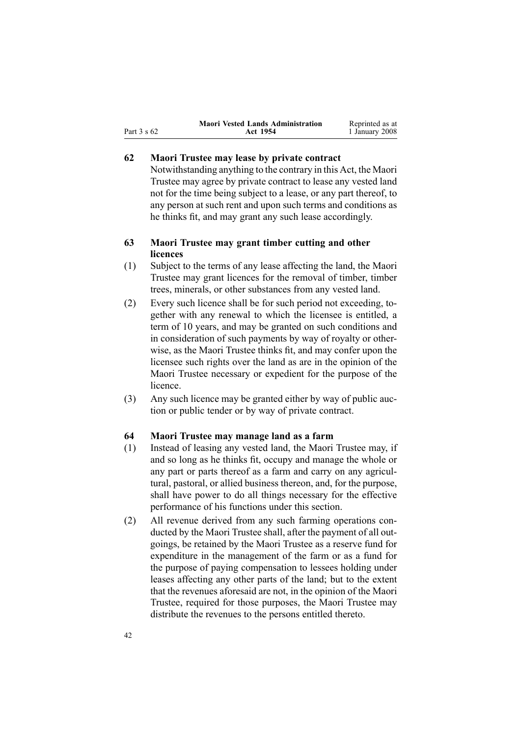<span id="page-41-0"></span>

|             | <b>Maori Vested Lands Administration</b> | Reprinted as at |
|-------------|------------------------------------------|-----------------|
| Part 3 s 62 | Act 1954                                 | 1 January 2008  |

### **62 Maori Trustee may lease by private contract**

Notwithstanding anything to the contrary in this Act, the Maori Trustee may agree by private contract to lease any vested land not for the time being subject to <sup>a</sup> lease, or any par<sup>t</sup> thereof, to any person at such rent and upon such terms and conditions as he thinks fit, and may gran<sup>t</sup> any such lease accordingly.

### **63 Maori Trustee may grant timber cutting and other licences**

- (1) Subject to the terms of any lease affecting the land, the Maori Trustee may gran<sup>t</sup> licences for the removal of timber, timber trees, minerals, or other substances from any vested land.
- (2) Every such licence shall be for such period not exceeding, together with any renewal to which the licensee is entitled, <sup>a</sup> term of 10 years, and may be granted on such conditions and in consideration of such payments by way of royalty or otherwise, as the Maori Trustee thinks fit, and may confer upon the licensee such rights over the land as are in the opinion of the Maori Trustee necessary or expedient for the purpose of the licence.
- (3) Any such licence may be granted either by way of public auction or public tender or by way of private contract.

### **64 Maori Trustee may manage land as <sup>a</sup> farm**

- (1) Instead of leasing any vested land, the Maori Trustee may, if and so long as he thinks fit, occupy and manage the whole or any par<sup>t</sup> or parts thereof as <sup>a</sup> farm and carry on any agricultural, pastoral, or allied business thereon, and, for the purpose, shall have power to do all things necessary for the effective performance of his functions under this section.
- (2) All revenue derived from any such farming operations conducted by the Maori Trustee shall, after the paymen<sup>t</sup> of all outgoings, be retained by the Maori Trustee as <sup>a</sup> reserve fund for expenditure in the managemen<sup>t</sup> of the farm or as <sup>a</sup> fund for the purpose of paying compensation to lessees holding under leases affecting any other parts of the land; but to the extent that the revenues aforesaid are not, in the opinion of the Maori Trustee, required for those purposes, the Maori Trustee may distribute the revenues to the persons entitled thereto.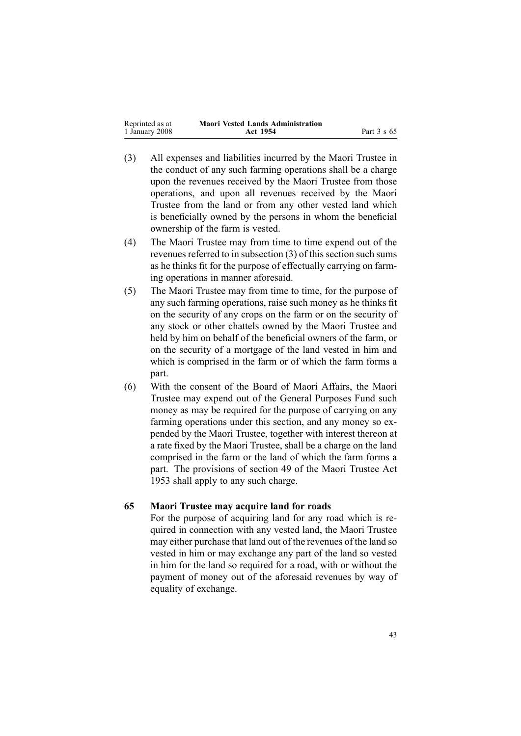<span id="page-42-0"></span>

| Reprinted as at | <b>Maori Vested Lands Administration</b> |             |
|-----------------|------------------------------------------|-------------|
| 1 January 2008  | Act 1954                                 | Part 3 s 65 |

- (3) All expenses and liabilities incurred by the Maori Trustee in the conduct of any such farming operations shall be <sup>a</sup> charge upon the revenues received by the Maori Trustee from those operations, and upon all revenues received by the Maori Trustee from the land or from any other vested land which is beneficially owned by the persons in whom the beneficial ownership of the farm is vested.
- (4) The Maori Trustee may from time to time expend out of the revenues referred to in subsection  $(3)$  of this section such sums as he thinks fit for the purpose of effectually carrying on farming operations in manner aforesaid.
- (5) The Maori Trustee may from time to time, for the purpose of any such farming operations, raise such money as he thinks fit on the security of any crops on the farm or on the security of any stock or other chattels owned by the Maori Trustee and held by him on behalf of the beneficial owners of the farm, or on the security of <sup>a</sup> mortgage of the land vested in him and which is comprised in the farm or of which the farm forms <sup>a</sup> part.
- (6) With the consent of the Board of Maori Affairs, the Maori Trustee may expend out of the General Purposes Fund such money as may be required for the purpose of carrying on any farming operations under this section, and any money so expended by the Maori Trustee, together with interest thereon at <sup>a</sup> rate fixed by the Maori Trustee, shall be <sup>a</sup> charge on the land comprised in the farm or the land of which the farm forms <sup>a</sup> part. The provisions of section [49](http://www.legislation.govt.nz/pdfLink.aspx?id=DLM282955) of the Maori [Trustee](http://www.legislation.govt.nz/pdfLink.aspx?id=DLM282037) Act [1953](http://www.legislation.govt.nz/pdfLink.aspx?id=DLM282037) shall apply to any such charge.

### **65 Maori Trustee may acquire land for roads**

For the purpose of acquiring land for any road which is required in connection with any vested land, the Maori Trustee may either purchase that land out of the revenues of the land so vested in him or may exchange any par<sup>t</sup> of the land so vested in him for the land so required for <sup>a</sup> road, with or without the paymen<sup>t</sup> of money out of the aforesaid revenues by way of equality of exchange.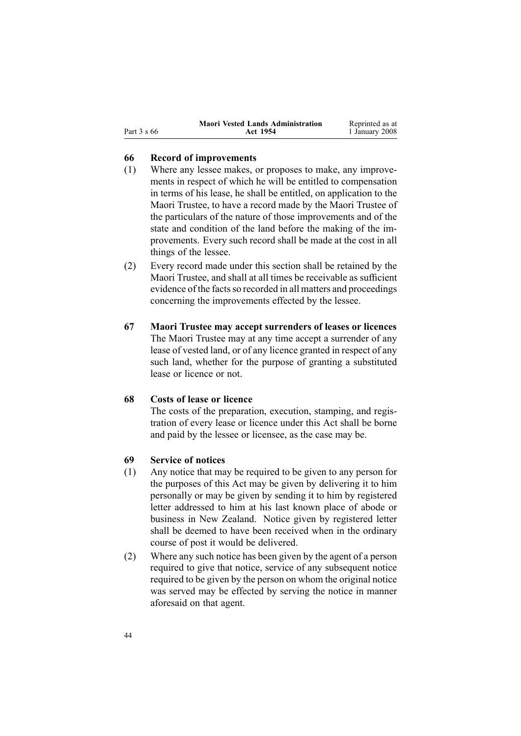<span id="page-43-0"></span>

| Part 3 s 66 |
|-------------|

#### **66 Record of improvements**

- (1) Where any lessee makes, or proposes to make, any improvements in respec<sup>t</sup> of which he will be entitled to compensation in terms of his lease, he shall be entitled, on application to the Maori Trustee, to have <sup>a</sup> record made by the Maori Trustee of the particulars of the nature of those improvements and of the state and condition of the land before the making of the improvements. Every such record shall be made at the cost in all things of the lessee.
- (2) Every record made under this section shall be retained by the Maori Trustee, and shall at all times be receivable as sufficient evidence of the facts so recorded in all matters and proceedings concerning the improvements effected by the lessee.
- **67 Maori Trustee may accept surrenders of leases or licences** The Maori Trustee may at any time accep<sup>t</sup> <sup>a</sup> surrender of any lease of vested land, or of any licence granted in respec<sup>t</sup> of any such land, whether for the purpose of granting <sup>a</sup> substituted lease or licence or not.

### **68 Costs of lease or licence**

The costs of the preparation, execution, stamping, and registration of every lease or licence under this Act shall be borne and paid by the lessee or licensee, as the case may be.

### **69 Service of notices**

- (1) Any notice that may be required to be given to any person for the purposes of this Act may be given by delivering it to him personally or may be given by sending it to him by registered letter addressed to him at his last known place of abode or business in New Zealand. Notice given by registered letter shall be deemed to have been received when in the ordinary course of pos<sup>t</sup> it would be delivered.
- (2) Where any such notice has been given by the agen<sup>t</sup> of <sup>a</sup> person required to give that notice, service of any subsequent notice required to be given by the person on whom the original notice was served may be effected by serving the notice in manner aforesaid on that agent.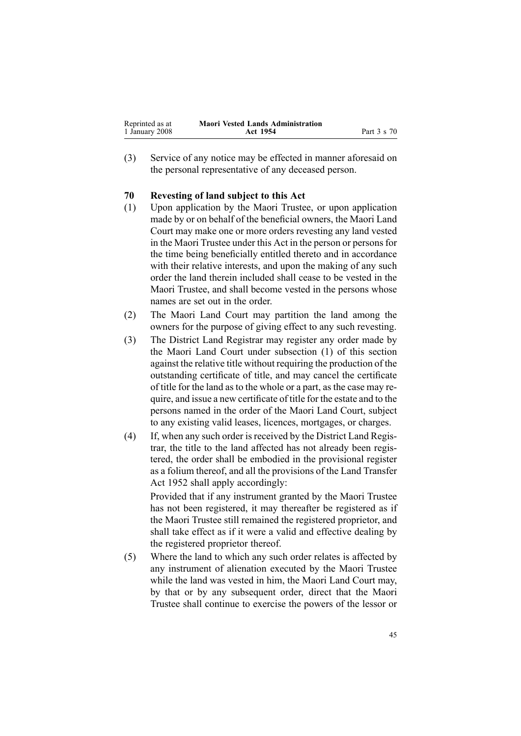<span id="page-44-0"></span>

| Reprinted as at | <b>Maori Vested Lands Administration</b> |             |
|-----------------|------------------------------------------|-------------|
| 1 January 2008  | Act 1954                                 | Part 3 s 70 |

(3) Service of any notice may be effected in manner aforesaid on the personal representative of any deceased person.

### **70 Revesting of land subject to this Act**

- (1) Upon application by the Maori Trustee, or upon application made by or on behalf of the beneficial owners, the Maori Land Court may make one or more orders revesting any land vested in the Maori Trustee under this Act in the person or personsfor the time being beneficially entitled thereto and in accordance with their relative interests, and upon the making of any such order the land therein included shall cease to be vested in the Maori Trustee, and shall become vested in the persons whose names are set out in the order.
- (2) The Maori Land Court may partition the land among the owners for the purpose of giving effect to any such revesting.
- (3) The District Land Registrar may register any order made by the Maori Land Court under subsection (1) of this section against the relative title without requiring the production of the outstanding certificate of title, and may cancel the certificate of title for the land as to the whole or <sup>a</sup> part, as the case may require, and issue <sup>a</sup> new certificate of title for the estate and to the persons named in the order of the Maori Land Court, subject to any existing valid leases, licences, mortgages, or charges.
- (4) If, when any such order is received by the District Land Registrar, the title to the land affected has not already been registered, the order shall be embodied in the provisional register as <sup>a</sup> folium thereof, and all the provisions of the Land [Transfer](http://www.legislation.govt.nz/pdfLink.aspx?id=DLM269031) Act [1952](http://www.legislation.govt.nz/pdfLink.aspx?id=DLM269031) shall apply accordingly: Provided that if any instrument granted by the Maori Trustee has not been registered, it may thereafter be registered as if

the Maori Trustee still remained the registered proprietor, and shall take effect as if it were <sup>a</sup> valid and effective dealing by the registered proprietor thereof.

(5) Where the land to which any such order relates is affected by any instrument of alienation executed by the Maori Trustee while the land was vested in him, the Maori Land Court may, by that or by any subsequent order, direct that the Maori Trustee shall continue to exercise the powers of the lessor or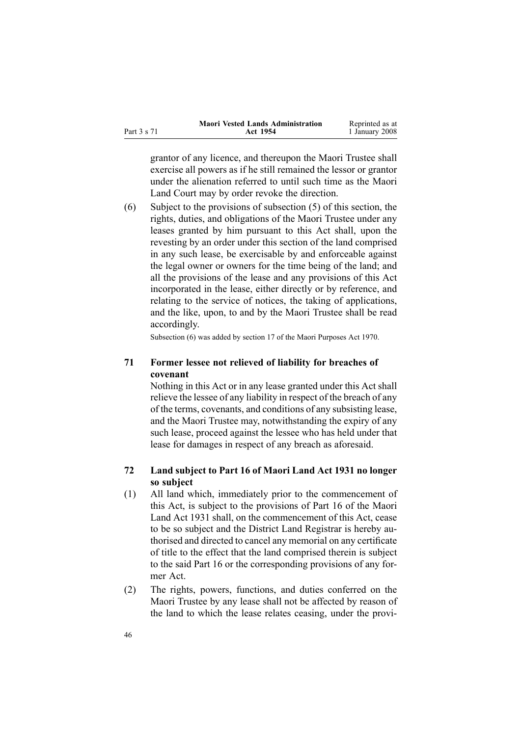<span id="page-45-0"></span>

|             | <b>Maori Vested Lands Administration</b> | Reprinted as at |
|-------------|------------------------------------------|-----------------|
| Part 3 s 71 | Act 1954                                 | 1 January 2008  |

grantor of any licence, and thereupon the Maori Trustee shall exercise all powers as if he still remained the lessor or grantor under the alienation referred to until such time as the Maori Land Court may by order revoke the direction.

(6) Subject to the provisions of subsection [\(5\)](#page-44-0) of this section, the rights, duties, and obligations of the Maori Trustee under any leases granted by him pursuan<sup>t</sup> to this Act shall, upon the revesting by an order under this section of the land comprised in any such lease, be exercisable by and enforceable against the legal owner or owners for the time being of the land; and all the provisions of the lease and any provisions of this Act incorporated in the lease, either directly or by reference, and relating to the service of notices, the taking of applications, and the like, upon, to and by the Maori Trustee shall be read accordingly.

Subsection (6) was added by section [17](http://www.legislation.govt.nz/pdfLink.aspx?id=DLM396109) of the Maori Purposes Act 1970.

### **71 Former lessee not relieved of liability for breaches of covenant**

Nothing in this Act or in any lease granted under this Act shall relieve the lessee of any liability in respec<sup>t</sup> of the breach of any of the terms, covenants, and conditions of any subsisting lease, and the Maori Trustee may, notwithstanding the expiry of any such lease, proceed against the lessee who has held under that lease for damages in respec<sup>t</sup> of any breach as aforesaid.

### **72 Land subject to Part 16 of Maori Land Act 1931 no longer so subject**

- (1) All land which, immediately prior to the commencement of this Act, is subject to the provisions of Part 16 of the Maori Land Act 1931 shall, on the commencement of this Act, cease to be so subject and the District Land Registrar is hereby authorised and directed to cancel any memorial on any certificate of title to the effect that the land comprised therein is subject to the said Part 16 or the corresponding provisions of any former Act.
- (2) The rights, powers, functions, and duties conferred on the Maori Trustee by any lease shall not be affected by reason of the land to which the lease relates ceasing, under the provi-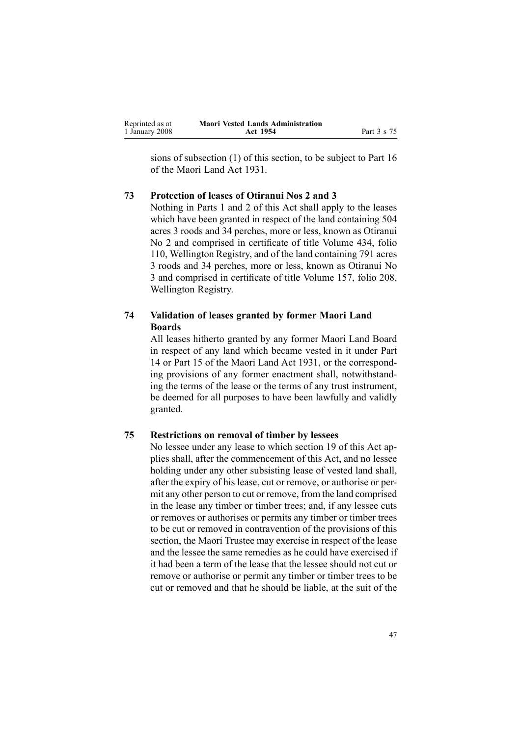<span id="page-46-0"></span>

| Reprinted as at | <b>Maori Vested Lands Administration</b> |             |
|-----------------|------------------------------------------|-------------|
| 1 January 2008  | Act 1954                                 | Part 3 s 75 |

sions of subsection [\(1\)](#page-45-0) of this section, to be subject to Part 16 of the Maori Land Act 1931.

#### **73 Protection of leases of Otiranui Nos 2 and 3**

Nothing in Parts [1](#page-4-0) and [2](#page-9-0) of this Act shall apply to the leases which have been granted in respec<sup>t</sup> of the land containing 504 acres 3 roods and 34 perches, more or less, known as Otiranui No 2 and comprised in certificate of title Volume 434, folio 110, Wellington Registry, and of the land containing 791 acres 3 roods and 34 perches, more or less, known as Otiranui No 3 and comprised in certificate of title Volume 157, folio 208, Wellington Registry.

### **74 Validation of leases granted by former Maori Land Boards**

All leases hitherto granted by any former Maori Land Board in respec<sup>t</sup> of any land which became vested in it under Part 14 or Part 15 of the Maori Land Act 1931, or the corresponding provisions of any former enactment shall, notwithstanding the terms of the lease or the terms of any trust instrument, be deemed for all purposes to have been lawfully and validly granted.

### **75 Restrictions on removal of timber by lessees**

No lessee under any lease to which section [19](#page-19-0) of this Act applies shall, after the commencement of this Act, and no lessee holding under any other subsisting lease of vested land shall, after the expiry of his lease, cut or remove, or authorise or permit any other person to cut or remove, from the land comprised in the lease any timber or timber trees; and, if any lessee cuts or removes or authorises or permits any timber or timber trees to be cut or removed in contravention of the provisions of this section, the Maori Trustee may exercise in respec<sup>t</sup> of the lease and the lessee the same remedies as he could have exercised if it had been <sup>a</sup> term of the lease that the lessee should not cut or remove or authorise or permit any timber or timber trees to be cut or removed and that he should be liable, at the suit of the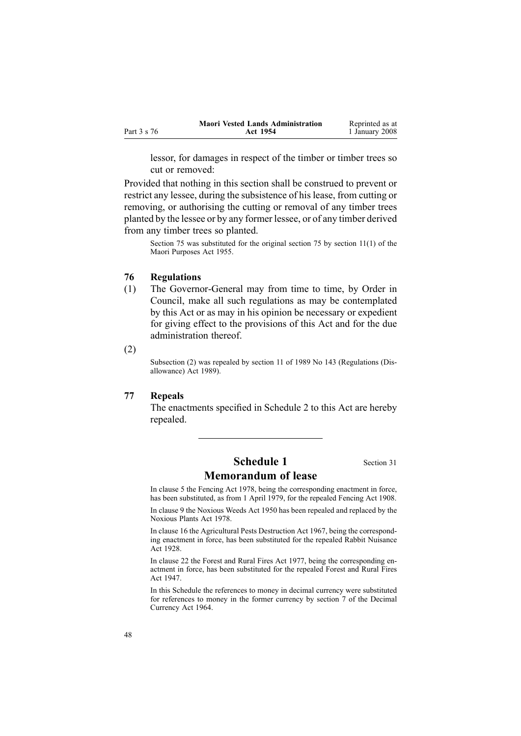<span id="page-47-0"></span>

|             | <b>Maori Vested Lands Administration</b> | Reprinted as at |
|-------------|------------------------------------------|-----------------|
| Part 3 s 76 | Act 1954                                 | 1 January 2008  |

lessor, for damages in respec<sup>t</sup> of the timber or timber trees so cut or removed:

Provided that nothing in this section shall be construed to preven<sup>t</sup> or restrict any lessee, during the subsistence of hislease, from cutting or removing, or authorising the cutting or removal of any timber trees planted by the lessee or by any former lessee, or of any timber derived from any timber trees so planted.

Section 75 was substituted for the original section 75 by section [11\(1\)](http://www.legislation.govt.nz/pdfLink.aspx?id=DLM293861) of the Maori Purposes Act 1955.

#### **76 Regulations**

- (1) The Governor-General may from time to time, by Order in Council, make all such regulations as may be contemplated by this Act or as may in his opinion be necessary or expedient for giving effect to the provisions of this Act and for the due administration thereof.
- (2)

Subsection (2) was repealed by section [11](http://www.legislation.govt.nz/pdfLink.aspx?id=DLM195558) of 1989 No 143 (Regulations (Disallowance) Act 1989).

#### **77 Repeals**

The enactments specified in Schedule [2](#page-58-0) to this Act are hereby repealed.

## **Schedule 1** Section [31](#page-26-0) **Memorandum of lease**

In clause 5 the Fencing Act 1978, being the corresponding enactment in force, has been substituted, as from 1 April 1979, for the repealed Fencing Act 1908.

In clause 9 the Noxious Weeds Act 1950 has been repealed and replaced by the Noxious Plants Act 1978.

In clause 16 the Agricultural Pests Destruction Act 1967, being the corresponding enactment in force, has been substituted for the repealed Rabbit Nuisance Act 1928.

In clause 22 the Forest and Rural Fires Act 1977, being the corresponding enactment in force, has been substituted for the repealed Forest and Rural Fires Act 1947.

In this Schedule the references to money in decimal currency were substituted for references to money in the former currency by section [7](http://www.legislation.govt.nz/pdfLink.aspx?id=DLM351265) of the Decimal Currency Act 1964.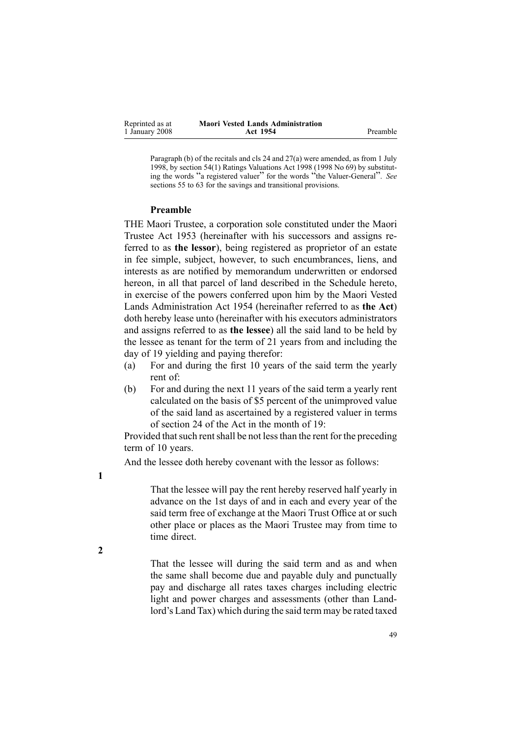| Reprinted as at | <b>Maori Vested Lands Administration</b> |          |
|-----------------|------------------------------------------|----------|
| 1 January 2008  | Act 1954                                 | Preamble |

Paragraph (b) of the recitals and cls 24 and 27(a) were amended, as from 1 July 1998, by section [54\(1\)](http://www.legislation.govt.nz/pdfLink.aspx?id=DLM427717) Ratings Valuations Act 1998 (1998 No 69) by substituting the words "a registered valuer" for the words "the Valuer-General". See sections 55 to [63](http://www.legislation.govt.nz/pdfLink.aspx?id=DLM427719) for the savings and transitional provisions.

#### **Preamble**

THE Maori Trustee, <sup>a</sup> corporation sole constituted under the [Maori](http://www.legislation.govt.nz/pdfLink.aspx?id=DLM282037) [Trustee](http://www.legislation.govt.nz/pdfLink.aspx?id=DLM282037) Act 1953 (hereinafter with his successors and assigns referred to as **the lessor**), being registered as proprietor of an estate in fee simple, subject, however, to such encumbrances, liens, and interests as are notified by memorandum underwritten or endorsed hereon, in all that parcel of land described in the Schedule hereto, in exercise of the powers conferred upon him by the Maori Vested Lands Administration Act 1954 (hereinafter referred to as **the Act**) doth hereby lease unto (hereinafter with his executors administrators and assigns referred to as **the lessee**) all the said land to be held by the lessee as tenant for the term of 21 years from and including the day of 19 yielding and paying therefor:

- (a) For and during the first 10 years of the said term the yearly rent of:
- (b) For and during the next 11 years of the said term <sup>a</sup> yearly rent calculated on the basis of \$5 percen<sup>t</sup> of the unimproved value of the said land as ascertained by <sup>a</sup> registered valuer in terms of section [24](#page-22-0) of the Act in the month of 19:

Provided that such rent shall be not less than the rent for the preceding term of 10 years.

And the lessee doth hereby covenant with the lessor as follows:

**1**

That the lessee will pay the rent hereby reserved half yearly in advance on the 1st days of and in each and every year of the said term free of exchange at the Maori Trust Office at or such other place or places as the Maori Trustee may from time to time direct.

**2**

That the lessee will during the said term and as and when the same shall become due and payable duly and punctually pay and discharge all rates taxes charges including electric light and power charges and assessments (other than Landlord's Land Tax) which during the said term may be rated taxed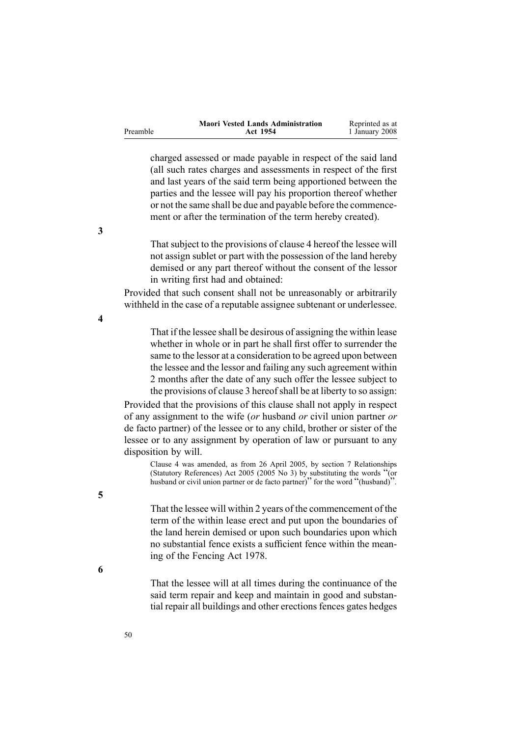<span id="page-49-0"></span>

|          | <b>Maori Vested Lands Administration</b> | Reprinted as at |
|----------|------------------------------------------|-----------------|
| Preamble | Act 1954                                 | 1 January 2008  |

charged assessed or made payable in respec<sup>t</sup> of the said land (all such rates charges and assessments in respec<sup>t</sup> of the first and last years of the said term being apportioned between the parties and the lessee will pay his proportion thereof whether or not the same shall be due and payable before the commencement or after the termination of the term hereby created).

That subject to the provisions of clause 4 hereof the lessee will not assign sublet or par<sup>t</sup> with the possession of the land hereby demised or any par<sup>t</sup> thereof without the consent of the lessor in writing first had and obtained:

Provided that such consent shall not be unreasonably or arbitrarily withheld in the case of <sup>a</sup> reputable assignee subtenant or underlessee.

**4**

That if the lessee shall be desirous of assigning the within lease whether in whole or in par<sup>t</sup> he shall first offer to surrender the same to the lessor at <sup>a</sup> consideration to be agreed upon between the lessee and the lessor and failing any such agreemen<sup>t</sup> within 2 months after the date of any such offer the lessee subject to the provisions of clause 3 hereofshall be at liberty to so assign:

Provided that the provisions of this clause shall not apply in respec<sup>t</sup> of any assignment to the wife (*or* husband *or* civil union partner *or* de facto partner) of the lessee or to any child, brother or sister of the lessee or to any assignment by operation of law or pursuan<sup>t</sup> to any disposition by will.

Clause 4 was amended, as from 26 April 2005, by section [7](http://www.legislation.govt.nz/pdfLink.aspx?id=DLM333795) Relationships (Statutory References) Act <sup>2005</sup> (2005 No 3) by substituting the words "(or husband or civil union partner or de facto partner)" for the word "(husband)".

That the lessee will within 2 years of the commencement of the term of the within lease erect and pu<sup>t</sup> upon the boundaries of the land herein demised or upon such boundaries upon which no substantial fence exists <sup>a</sup> sufficient fence within the meaning of the [Fencing](http://www.legislation.govt.nz/pdfLink.aspx?id=DLM21806) Act 1978.

**6**

**5**

That the lessee will at all times during the continuance of the said term repair and keep and maintain in good and substantial repair all buildings and other erections fences gates hedges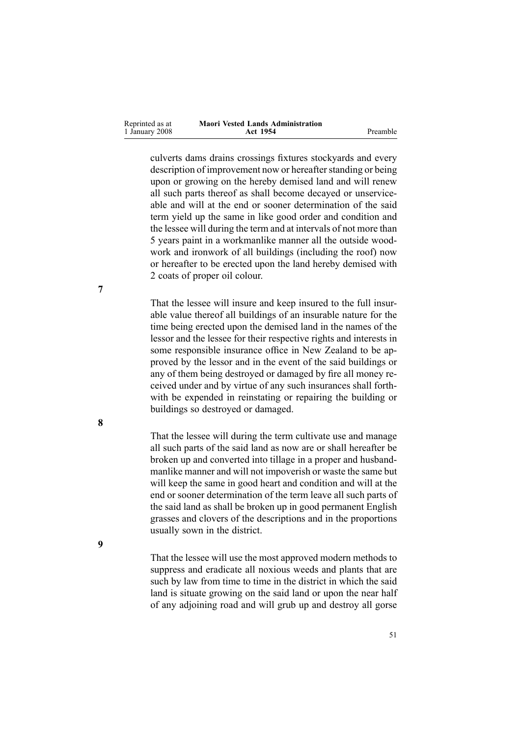| Reprinted as at | <b>Maori Vested Lands Administration</b> |          |
|-----------------|------------------------------------------|----------|
| 1 January 2008  | Act 1954                                 | Preamble |

culverts dams drains crossings fixtures stockyards and every description of improvement now or hereafter standing or being upon or growing on the hereby demised land and will renew all such parts thereof as shall become decayed or unserviceable and will at the end or sooner determination of the said term yield up the same in like good order and condition and the lessee will during the term and at intervals of not more than 5 years paint in <sup>a</sup> workmanlike manner all the outside woodwork and ironwork of all buildings (including the roof) now or hereafter to be erected upon the land hereby demised with 2 coats of proper oil colour.

That the lessee will insure and keep insured to the full insurable value thereof all buildings of an insurable nature for the time being erected upon the demised land in the names of the lessor and the lessee for their respective rights and interests in some responsible insurance office in New Zealand to be approved by the lessor and in the event of the said buildings or any of them being destroyed or damaged by fire all money received under and by virtue of any such insurances shall forthwith be expended in reinstating or repairing the building or buildings so destroyed or damaged.

That the lessee will during the term cultivate use and manage all such parts of the said land as now are or shall hereafter be broken up and converted into tillage in <sup>a</sup> proper and husbandmanlike manner and will not impoverish or waste the same but will keep the same in good heart and condition and will at the end or sooner determination of the term leave all such parts of the said land as shall be broken up in good permanen<sup>t</sup> English grasses and clovers of the descriptions and in the proportions usually sown in the district.

That the lessee will use the most approved modern methods to suppress and eradicate all noxious weeds and plants that are such by law from time to time in the district in which the said land is situate growing on the said land or upon the near half of any adjoining road and will grub up and destroy all gorse

**7**

**8**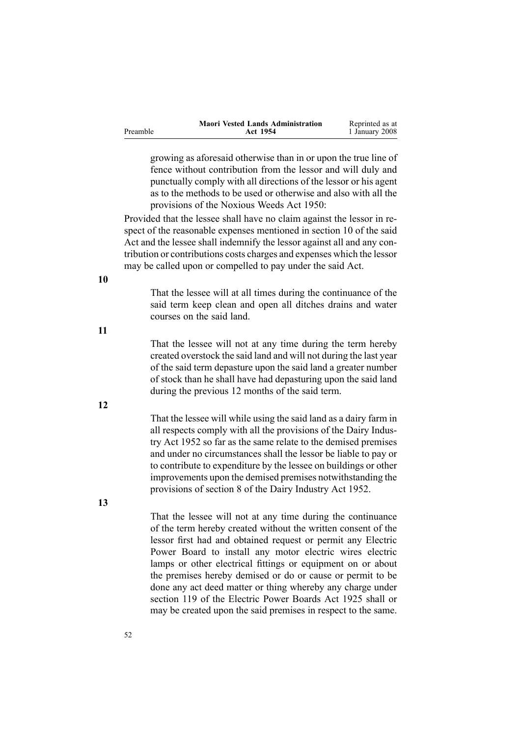|          | <b>Maori Vested Lands Administration</b> | Reprinted as at |
|----------|------------------------------------------|-----------------|
| Preamble | Act 1954                                 | 1 January 2008  |

growing as aforesaid otherwise than in or upon the true line of fence without contribution from the lessor and will duly and punctually comply with all directions of the lessor or his agen<sup>t</sup> as to the methods to be used or otherwise and also with all the provisions of the Noxious Weeds Act 1950:

Provided that the lessee shall have no claim against the lessor in respec<sup>t</sup> of the reasonable expenses mentioned in section [10](#page-13-0) of the said Act and the lessee shall indemnify the lessor against all and any contribution or contributions costs charges and expenses which the lessor may be called upon or compelled to pay under the said Act.

That the lessee will at all times during the continuance of the said term keep clean and open all ditches drains and water courses on the said land.

That the lessee will not at any time during the term hereby created overstock the said land and will not during the last year of the said term depasture upon the said land <sup>a</sup> greater number of stock than he shall have had depasturing upon the said land during the previous 12 months of the said term.

That the lessee will while using the said land as <sup>a</sup> dairy farm in all respects comply with all the provisions of the Dairy Industry Act 1952 so far as the same relate to the demised premises and under no circumstances shall the lessor be liable to pay or to contribute to expenditure by the lessee on buildings or other improvements upon the demised premises notwithstanding the provisions of section 8 of the Dairy Industry Act 1952.

**13**

That the lessee will not at any time during the continuance of the term hereby created without the written consent of the lessor first had and obtained reques<sup>t</sup> or permit any Electric Power Board to install any motor electric wires electric lamps or other electrical fittings or equipment on or about the premises hereby demised or do or cause or permit to be done any act deed matter or thing whereby any charge under section 119 of the Electric Power Boards Act 1925 shall or may be created upon the said premises in respec<sup>t</sup> to the same.

**10**

**12**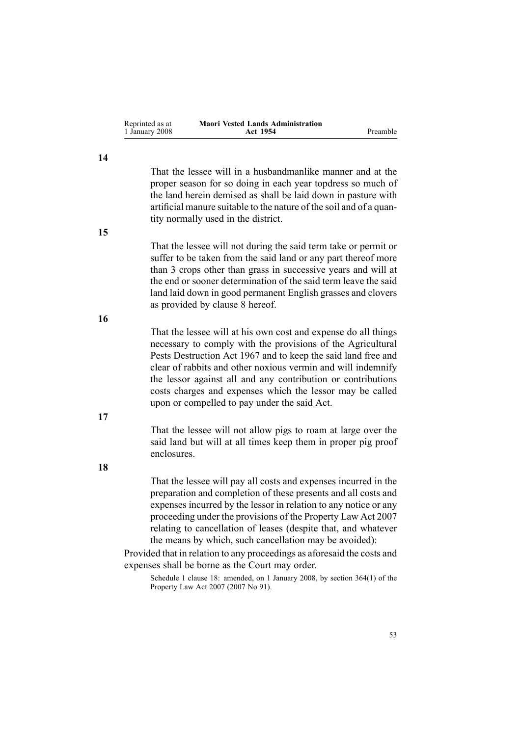| Reprinted as at | <b>Maori Vested Lands Administration</b> |          |
|-----------------|------------------------------------------|----------|
| 1 January 2008  | Act 1954                                 | Preamble |

That the lessee will in <sup>a</sup> husbandmanlike manner and at the proper season for so doing in each year topdress so much of the land herein demised as shall be laid down in pasture with artificial manure suitable to the nature of the soil and of <sup>a</sup> quantity normally used in the district.

**15**

**14**

That the lessee will not during the said term take or permit or suffer to be taken from the said land or any par<sup>t</sup> thereof more than 3 crops other than grass in successive years and will at the end or sooner determination of the said term leave the said land laid down in good permanen<sup>t</sup> English grasses and clovers as provided by clause [8](#page-49-0) hereof.

**16**

That the lessee will at his own cost and expense do all things necessary to comply with the provisions of the Agricultural Pests Destruction Act 1967 and to keep the said land free and clear of rabbits and other noxious vermin and will indemnify the lessor against all and any contribution or contributions costs charges and expenses which the lessor may be called upon or compelled to pay under the said Act.

**17**

That the lessee will not allow pigs to roam at large over the said land but will at all times keep them in proper pig proof enclosures.

**18**

That the lessee will pay all costs and expenses incurred in the preparation and completion of these presents and all costs and expenses incurred by the lessor in relation to any notice or any proceeding under the provisions of the Property Law Act 2007 relating to cancellation of leases (despite that, and whatever the means by which, such cancellation may be avoided):

Provided that in relation to any proceedings as aforesaid the costs and expenses shall be borne as the Court may order.

Schedule 1 clause 18: amended, on 1 January 2008, by section [364\(1\)](http://www.legislation.govt.nz/pdfLink.aspx?id=DLM969644) of the Property Law Act 2007 (2007 No 91).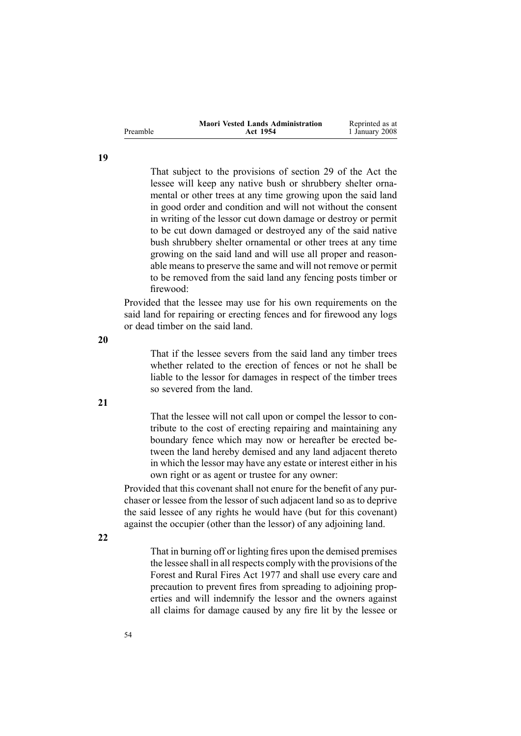|          | <b>Maori Vested Lands Administration</b> | Reprinted as at |
|----------|------------------------------------------|-----------------|
| Preamble | Act 1954                                 | 1 January 2008  |

That subject to the provisions of section [29](#page-25-0) of the Act the lessee will keep any native bush or shrubbery shelter ornamental or other trees at any time growing upon the said land in good order and condition and will not without the consent in writing of the lessor cut down damage or destroy or permit to be cut down damaged or destroyed any of the said native bush shrubbery shelter ornamental or other trees at any time growing on the said land and will use all proper and reasonable means to preserve the same and will not remove or permit to be removed from the said land any fencing posts timber or firewood:

Provided that the lessee may use for his own requirements on the said land for repairing or erecting fences and for firewood any logs or dead timber on the said land.

**20**

That if the lessee severs from the said land any timber trees whether related to the erection of fences or not he shall be liable to the lessor for damages in respec<sup>t</sup> of the timber trees so severed from the land.

That the lessee will not call upon or compel the lessor to contribute to the cost of erecting repairing and maintaining any boundary fence which may now or hereafter be erected between the land hereby demised and any land adjacent thereto in which the lessor may have any estate or interest either in his own right or as agen<sup>t</sup> or trustee for any owner:

Provided that this covenant shall not enure for the benefit of any purchaser or lessee from the lessor of such adjacent land so as to deprive the said lessee of any rights he would have (but for this covenant) against the occupier (other than the lessor) of any adjoining land.

**22**

That in burning off or lighting fires upon the demised premises the lessee shall in all respects comply with the provisions of the [Forest](http://www.legislation.govt.nz/pdfLink.aspx?id=DLM442946) and Rural Fires Act 1977 and shall use every care and precaution to preven<sup>t</sup> fires from spreading to adjoining properties and will indemnify the lessor and the owners against all claims for damage caused by any fire lit by the lessee or

**19**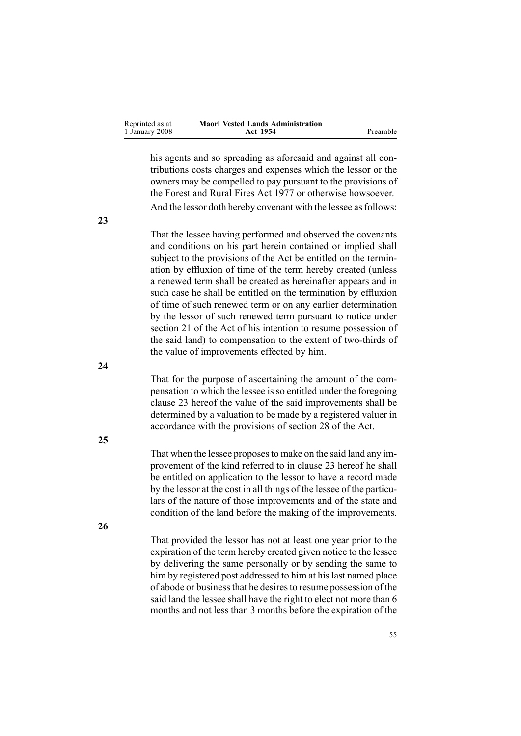| Reprinted as at | <b>Maori Vested Lands Administration</b> |          |
|-----------------|------------------------------------------|----------|
| 1 January 2008  | Act 1954                                 | Preamble |

his agents and so spreading as aforesaid and against all contributions costs charges and expenses which the lessor or the owners may be compelled to pay pursuan<sup>t</sup> to the provisions of the [Forest](http://www.legislation.govt.nz/pdfLink.aspx?id=DLM442946) and Rural Fires Act 1977 or otherwise howsoever. And the lessor doth hereby covenant with the lessee as follows:

**23**

**24**

**25**

That the lessee having performed and observed the covenants and conditions on his par<sup>t</sup> herein contained or implied shall subject to the provisions of the Act be entitled on the termination by effluxion of time of the term hereby created (unless <sup>a</sup> renewed term shall be created as hereinafter appears and in such case he shall be entitled on the termination by effluxion of time of such renewed term or on any earlier determination by the lessor of such renewed term pursuan<sup>t</sup> to notice under section [21](#page-20-0) of the Act of his intention to resume possession of the said land) to compensation to the extent of two-thirds of the value of improvements effected by him.

That for the purpose of ascertaining the amount of the compensation to which the lessee is so entitled under the foregoing clause 23 hereof the value of the said improvements shall be determined by <sup>a</sup> valuation to be made by <sup>a</sup> registered valuer in accordance with the provisions of section [28](#page-24-0) of the Act.

That when the lessee proposesto make on the said land any improvemen<sup>t</sup> of the kind referred to in clause 23 hereof he shall be entitled on application to the lessor to have <sup>a</sup> record made by the lessor at the cost in all things of the lessee of the particulars of the nature of those improvements and of the state and condition of the land before the making of the improvements.

**26**

That provided the lessor has not at least one year prior to the expiration of the term hereby created given notice to the lessee by delivering the same personally or by sending the same to him by registered post addressed to him at his last named place of abode or businessthat he desiresto resume possession of the said land the lessee shall have the right to elect not more than 6 months and not less than 3 months before the expiration of the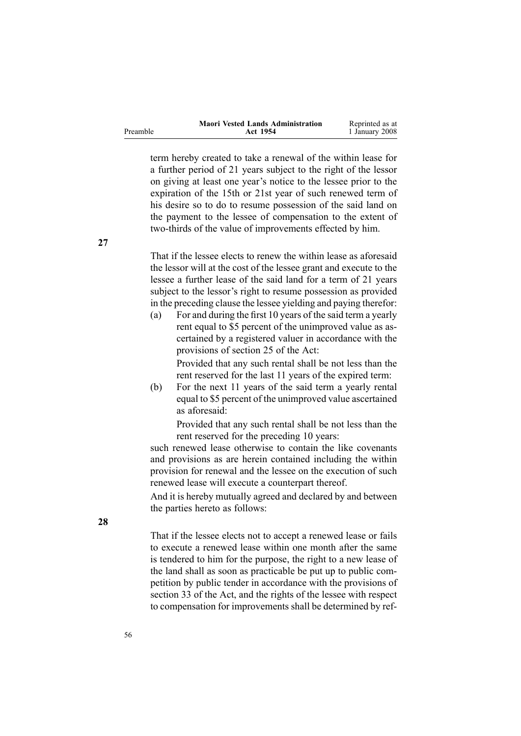|          | <b>Maori Vested Lands Administration</b> | Reprinted as at |
|----------|------------------------------------------|-----------------|
| Preamble | Act 1954                                 | 1 January 2008  |

term hereby created to take <sup>a</sup> renewal of the within lease for <sup>a</sup> further period of 21 years subject to the right of the lessor on giving at least one year's notice to the lessee prior to the expiration of the 15th or 21st year of such renewed term of his desire so to do to resume possession of the said land on the paymen<sup>t</sup> to the lessee of compensation to the extent of two-thirds of the value of improvements effected by him.

That if the lessee elects to renew the within lease as aforesaid the lessor will at the cost of the lessee gran<sup>t</sup> and execute to the lessee <sup>a</sup> further lease of the said land for <sup>a</sup> term of 21 years subject to the lessor's right to resume possession as provided in the preceding clause the lessee yielding and paying therefor:

(a) For and during the first 10 years of the said term <sup>a</sup> yearly rent equal to \$5 percen<sup>t</sup> of the unimproved value as ascertained by <sup>a</sup> registered valuer in accordance with the provisions of section [25](#page-23-0) of the Act:

> Provided that any such rental shall be not less than the rent reserved for the last 11 years of the expired term:

(b) For the next 11 years of the said term <sup>a</sup> yearly rental equal to \$5 percen<sup>t</sup> of the unimproved value ascertained as aforesaid:

> Provided that any such rental shall be not less than the rent reserved for the preceding 10 years:

such renewed lease otherwise to contain the like covenants and provisions as are herein contained including the within provision for renewal and the lessee on the execution of such renewed lease will execute <sup>a</sup> counterpart thereof.

And it is hereby mutually agreed and declared by and between the parties hereto as follows:

That if the lessee elects not to accep<sup>t</sup> <sup>a</sup> renewed lease or fails to execute <sup>a</sup> renewed lease within one month after the same is tendered to him for the purpose, the right to <sup>a</sup> new lease of the land shall as soon as practicable be pu<sup>t</sup> up to public competition by public tender in accordance with the provisions of section 33 of the Act, and the rights of the lessee with respec<sup>t</sup> to compensation for improvements shall be determined by ref-

**28**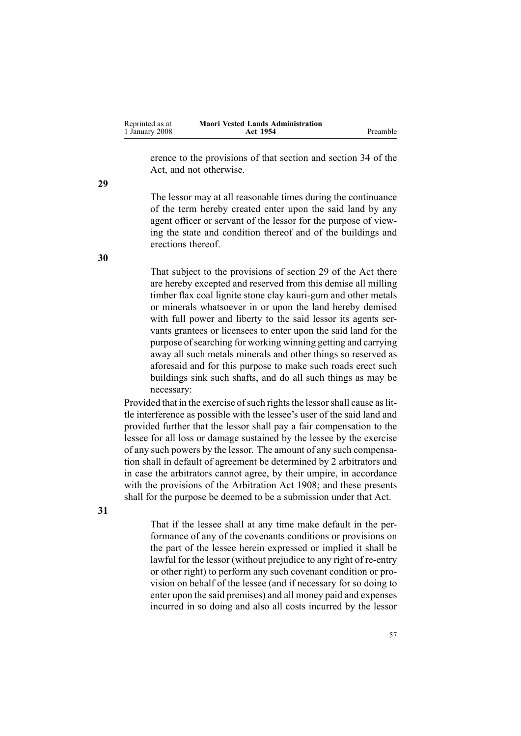| Reprinted as at | <b>Maori Vested Lands Administration</b> |          |
|-----------------|------------------------------------------|----------|
| 1 January 2008  | <b>Act 1954</b>                          | Preamble |

erence to the provisions of that section and section [34](#page-29-0) of the Act, and not otherwise.

The lessor may at all reasonable times during the continuance of the term hereby created enter upon the said land by any agen<sup>t</sup> officer or servant of the lessor for the purpose of viewing the state and condition thereof and of the buildings and erections thereof.

That subject to the provisions of section [29](#page-25-0) of the Act there are hereby excepted and reserved from this demise all milling timber flax coal lignite stone clay kauri-gum and other metals or minerals whatsoever in or upon the land hereby demised with full power and liberty to the said lessor its agents servants grantees or licensees to enter upon the said land for the purpose of searching for working winning getting and carrying away all such metals minerals and other things so reserved as aforesaid and for this purpose to make such roads erect such buildings sink such shafts, and do all such things as may be necessary:

Provided that in the exercise of such rights the lessor shall cause as little interference as possible with the lessee's user of the said land and provided further that the lessor shall pay <sup>a</sup> fair compensation to the lessee for all loss or damage sustained by the lessee by the exercise of any such powers by the lessor. The amount of any such compensation shall in default of agreemen<sup>t</sup> be determined by 2 arbitrators and in case the arbitrators cannot agree, by their umpire, in accordance with the provisions of the Arbitration Act 1908; and these presents shall for the purpose be deemed to be <sup>a</sup> submission under that Act.

**31**

That if the lessee shall at any time make default in the performance of any of the covenants conditions or provisions on the par<sup>t</sup> of the lessee herein expressed or implied it shall be lawful for the lessor (without prejudice to any right of re-entry or other right) to perform any such covenant condition or provision on behalf of the lessee (and if necessary for so doing to enter upon the said premises) and all money paid and expenses incurred in so doing and also all costs incurred by the lessor

**30**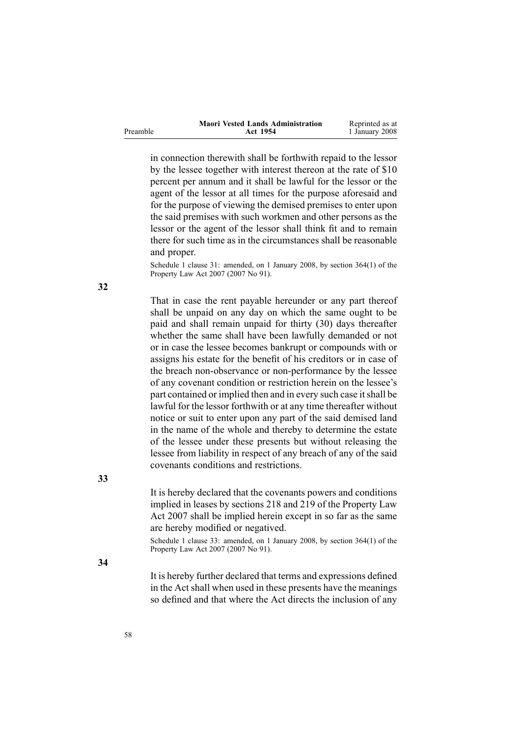|          | <b>Maori Vested Lands Administration</b> | Reprinted as at |
|----------|------------------------------------------|-----------------|
| Preamble | Act 1954                                 | 1 January 2008  |

in connection therewith shall be forthwith repaid to the lessor by the lessee together with interest thereon at the rate of \$10 percen<sup>t</sup> per annum and it shall be lawful for the lessor or the agen<sup>t</sup> of the lessor at all times for the purpose aforesaid and for the purpose of viewing the demised premises to enter upon the said premises with such workmen and other persons as the lessor or the agen<sup>t</sup> of the lessor shall think fit and to remain there for such time as in the circumstances shall be reasonable and proper.

Schedule 1 clause 31: amended, on 1 January 2008, by section [364\(1\)](http://www.legislation.govt.nz/pdfLink.aspx?id=DLM969644) of the Property Law Act 2007 (2007 No 91).

That in case the rent payable hereunder or any par<sup>t</sup> thereof shall be unpaid on any day on which the same ought to be paid and shall remain unpaid for thirty (30) days thereafter whether the same shall have been lawfully demanded or not or in case the lessee becomes bankrupt or compounds with or assigns his estate for the benefit of his creditors or in case of the breach non-observance or non-performance by the lessee of any covenant condition or restriction herein on the lessee's part contained or implied then and in every such case it shall be lawful for the lessor forthwith or at any time thereafter without notice or suit to enter upon any par<sup>t</sup> of the said demised land in the name of the whole and thereby to determine the estate of the lessee under these presents but without releasing the lessee from liability in respec<sup>t</sup> of any breach of any of the said covenants conditions and restrictions.

It is hereby declared that the covenants powers and conditions implied in leases by [sections](http://www.legislation.govt.nz/pdfLink.aspx?id=DLM969422) 218 and [219](http://www.legislation.govt.nz/pdfLink.aspx?id=DLM969423) of the Property Law Act 2007 shall be implied herein excep<sup>t</sup> in so far as the same are hereby modified or negatived.

Schedule 1 clause 33: amended, on 1 January 2008, by section [364\(1\)](http://www.legislation.govt.nz/pdfLink.aspx?id=DLM969644) of the Property Law Act 2007 (2007 No 91).

**34**

**33**

It is hereby further declared that terms and expressions defined in the Act shall when used in these presents have the meanings so defined and that where the Act directs the inclusion of any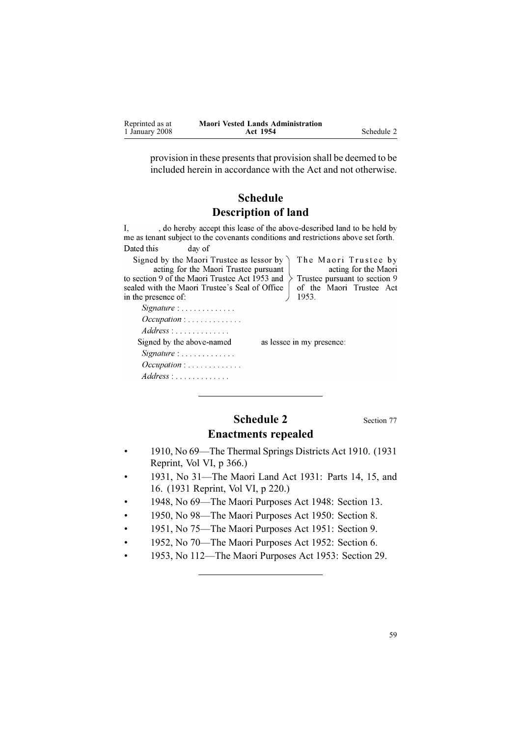<span id="page-58-0"></span>

| Reprinted as at | <b>Maori Vested Lands Administration</b> |            |
|-----------------|------------------------------------------|------------|
| 1 January 2008  | Act 1954                                 | Schedule 2 |

provision in these presents that provision shall be deemed to be included herein in accordance with the Act and not otherwise.

## **Schedule Description of land**

, do hereby accept this lease of the above-described land to be held by  $\mathbf{L}$ me as tenant subject to the covenants conditions and restrictions above set forth. Dated this day of

Signed by the Maori Trustee as lessor by acting for the Maori Trustee pursuant to section 9 of the Maori Trustee Act 1953 and sealed with the Maori Trustee's Seal of Office in the presence of:

Signature : . . . . . . . . . . . . . Occupation: . . . . . . . . . . . . .  $Address: \ldots \ldots \ldots$ Signed by the above-named

Signature : . . . . . . . . . . . . . Occupation: .............

 $Address: \ldots \ldots$ 

The Maori Trustee by acting for the Maori Trustee pursuant to section 9 of the Maori Trustee Act 1953.

as lessee in my presence:

# **Schedule 2** Section [77](#page-47-0) **Enactments repealed**

- • 1910, No 69—The Thermal Springs Districts Act 1910. (1931 Reprint, Vol VI, p 366.)
- • 1931, No 31—The Maori Land Act 1931: Parts 14, 15, and 16. (1931 Reprint, Vol VI, p 220.)
- •1948, No 69—The Maori [Purposes](http://www.legislation.govt.nz/pdfLink.aspx?id=DLM254439) Act 1948: Section [13](http://www.legislation.govt.nz/pdfLink.aspx?id=DLM254468).
- •1950, No 98—The Maori Purposes Act 1950: Section 8.
- •1951, No 75—The Maori [Purposes](http://www.legislation.govt.nz/pdfLink.aspx?id=DLM264192) Act 1951: Section [9](http://www.legislation.govt.nz/pdfLink.aspx?id=DLM264512).
- •1952, No 70—The Maori [Purposes](http://www.legislation.govt.nz/pdfLink.aspx?id=DLM275619) Act 1952: Section [6](http://www.legislation.govt.nz/pdfLink.aspx?id=DLM275633).
- •1953, No 112—The Maori [Purposes](http://www.legislation.govt.nz/pdfLink.aspx?id=DLM283859) Act 1953: Section [29](http://www.legislation.govt.nz/pdfLink.aspx?id=DLM284302).